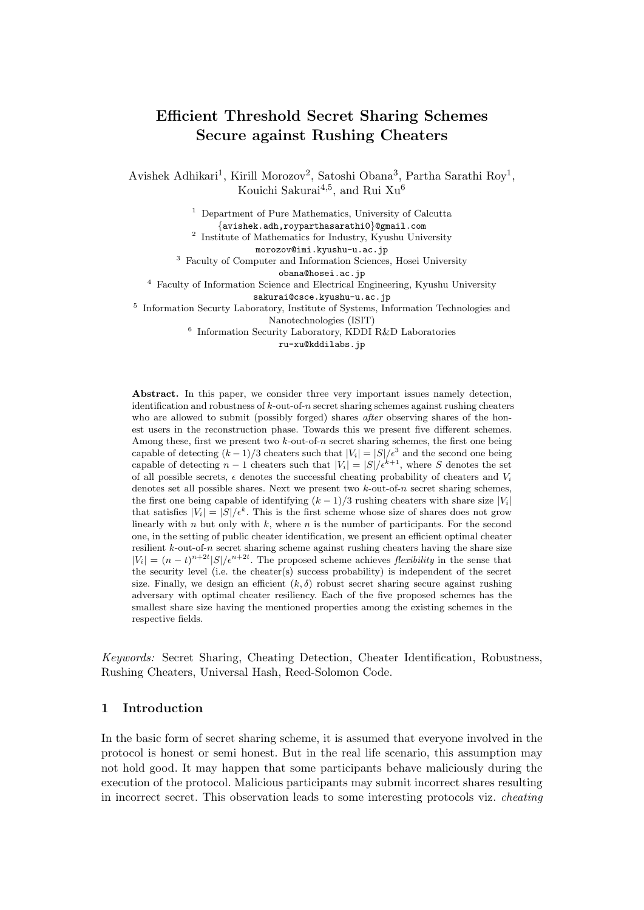# Efficient Threshold Secret Sharing Schemes Secure against Rushing Cheaters

Avishek Adhikari<sup>1</sup>, Kirill Morozov<sup>2</sup>, Satoshi Obana<sup>3</sup>, Partha Sarathi Roy<sup>1</sup>, Kouichi Sakurai $^{4,5}$ , and Rui Xu $^6$ 

> <sup>1</sup> Department of Pure Mathematics, University of Calcutta {avishek.adh,royparthasarathi0}@gmail.com <sup>2</sup> Institute of Mathematics for Industry, Kyushu University morozov@imi.kyushu-u.ac.jp

<sup>3</sup> Faculty of Computer and Information Sciences, Hosei University

obana@hosei.ac.jp

<sup>4</sup> Faculty of Information Science and Electrical Engineering, Kyushu University

sakurai@csce.kyushu-u.ac.jp 5 Information Securty Laboratory, Institute of Systems, Information Technologies and

Nanotechnologies (ISIT)

6 Information Security Laboratory, KDDI R&D Laboratories

ru-xu@kddilabs.jp

Abstract. In this paper, we consider three very important issues namely detection, identification and robustness of  $k$ -out-of-n secret sharing schemes against rushing cheaters who are allowed to submit (possibly forged) shares *after* observing shares of the honest users in the reconstruction phase. Towards this we present five different schemes. Among these, first we present two  $k$ -out-of-n secret sharing schemes, the first one being capable of detecting  $(k-1)/3$  cheaters such that  $|V_i| = |S|/\epsilon^3$  and the second one being capable of detecting  $n-1$  cheaters such that  $|V_i| = |S|/\epsilon^{k+1}$ , where S denotes the set of all possible secrets,  $\epsilon$  denotes the successful cheating probability of cheaters and  $V_i$ denotes set all possible shares. Next we present two  $k$ -out-of-n secret sharing schemes, the first one being capable of identifying  $(k-1)/3$  rushing cheaters with share size  $|V_i|$ that satisfies  $|V_i| = |S|/\epsilon^k$ . This is the first scheme whose size of shares does not grow linearly with  $n$  but only with  $k$ , where  $n$  is the number of participants. For the second one, in the setting of public cheater identification, we present an efficient optimal cheater resilient k-out-of-n secret sharing scheme against rushing cheaters having the share size  $|V_i| = (n-t)^{n+2t} |S| / \epsilon^{n+2t}$ . The proposed scheme achieves *flexibility* in the sense that the security level (i.e. the cheater(s) success probability) is independent of the secret size. Finally, we design an efficient  $(k, \delta)$  robust secret sharing secure against rushing adversary with optimal cheater resiliency. Each of the five proposed schemes has the smallest share size having the mentioned properties among the existing schemes in the respective fields.

Keywords: Secret Sharing, Cheating Detection, Cheater Identification, Robustness, Rushing Cheaters, Universal Hash, Reed-Solomon Code.

## 1 Introduction

In the basic form of secret sharing scheme, it is assumed that everyone involved in the protocol is honest or semi honest. But in the real life scenario, this assumption may not hold good. It may happen that some participants behave maliciously during the execution of the protocol. Malicious participants may submit incorrect shares resulting in incorrect secret. This observation leads to some interesting protocols viz. cheating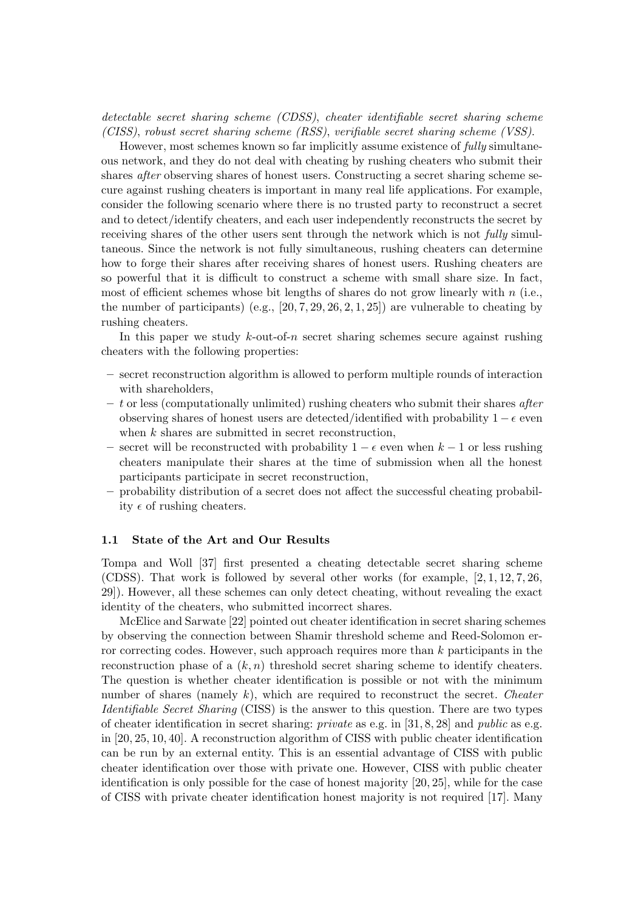detectable secret sharing scheme (CDSS), cheater identifiable secret sharing scheme (CISS), robust secret sharing scheme (RSS), verifiable secret sharing scheme (VSS).

However, most schemes known so far implicitly assume existence of *fully* simultaneous network, and they do not deal with cheating by rushing cheaters who submit their shares after observing shares of honest users. Constructing a secret sharing scheme secure against rushing cheaters is important in many real life applications. For example, consider the following scenario where there is no trusted party to reconstruct a secret and to detect/identify cheaters, and each user independently reconstructs the secret by receiving shares of the other users sent through the network which is not fully simultaneous. Since the network is not fully simultaneous, rushing cheaters can determine how to forge their shares after receiving shares of honest users. Rushing cheaters are so powerful that it is difficult to construct a scheme with small share size. In fact, most of efficient schemes whose bit lengths of shares do not grow linearly with  $n$  (i.e., the number of participants) (e.g.,  $[20, 7, 29, 26, 2, 1, 25]$ ) are vulnerable to cheating by rushing cheaters.

In this paper we study  $k$ -out-of-n secret sharing schemes secure against rushing cheaters with the following properties:

- secret reconstruction algorithm is allowed to perform multiple rounds of interaction with shareholders,
- $t$  or less (computationally unlimited) rushing cheaters who submit their shares *after* observing shares of honest users are detected/identified with probability  $1 - \epsilon$  even when k shares are submitted in secret reconstruction,
- secret will be reconstructed with probability  $1 \epsilon$  even when  $k 1$  or less rushing cheaters manipulate their shares at the time of submission when all the honest participants participate in secret reconstruction,
- probability distribution of a secret does not affect the successful cheating probability  $\epsilon$  of rushing cheaters.

## 1.1 State of the Art and Our Results

Tompa and Woll [37] first presented a cheating detectable secret sharing scheme (CDSS). That work is followed by several other works (for example, [2, 1, 12, 7, 26, 29]). However, all these schemes can only detect cheating, without revealing the exact identity of the cheaters, who submitted incorrect shares.

McElice and Sarwate [22] pointed out cheater identification in secret sharing schemes by observing the connection between Shamir threshold scheme and Reed-Solomon error correcting codes. However, such approach requires more than  $k$  participants in the reconstruction phase of a  $(k, n)$  threshold secret sharing scheme to identify cheaters. The question is whether cheater identification is possible or not with the minimum number of shares (namely  $k$ ), which are required to reconstruct the secret. Cheater Identifiable Secret Sharing (CISS) is the answer to this question. There are two types of cheater identification in secret sharing: *private* as e.g. in [31, 8, 28] and *public* as e.g. in [20, 25, 10, 40]. A reconstruction algorithm of CISS with public cheater identification can be run by an external entity. This is an essential advantage of CISS with public cheater identification over those with private one. However, CISS with public cheater identification is only possible for the case of honest majority [20, 25], while for the case of CISS with private cheater identification honest majority is not required [17]. Many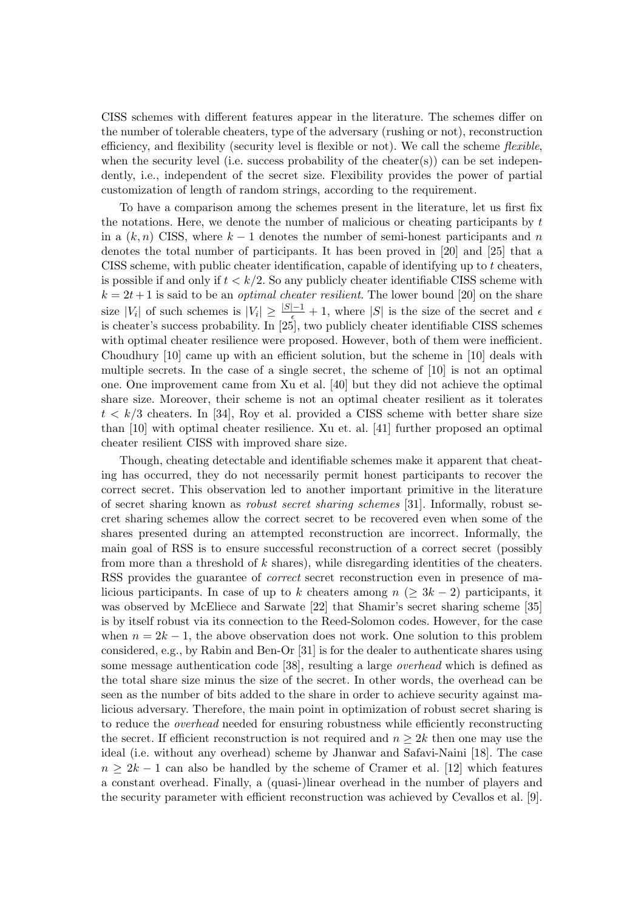CISS schemes with different features appear in the literature. The schemes differ on the number of tolerable cheaters, type of the adversary (rushing or not), reconstruction efficiency, and flexibility (security level is flexible or not). We call the scheme flexible, when the security level (i.e. success probability of the cheater(s)) can be set independently, i.e., independent of the secret size. Flexibility provides the power of partial customization of length of random strings, according to the requirement.

To have a comparison among the schemes present in the literature, let us first fix the notations. Here, we denote the number of malicious or cheating participants by t in a  $(k, n)$  CISS, where  $k - 1$  denotes the number of semi-honest participants and n denotes the total number of participants. It has been proved in [20] and [25] that a CISS scheme, with public cheater identification, capable of identifying up to t cheaters, is possible if and only if  $t < k/2$ . So any publicly cheater identifiable CISS scheme with  $k = 2t + 1$  is said to be an *optimal cheater resilient*. The lower bound [20] on the share size |V<sub>i</sub>| of such schemes is  $|V_i| \geq \frac{|S|-1}{\epsilon} + 1$ , where |S| is the size of the secret and  $\epsilon$ is cheater's success probability. In [25], two publicly cheater identifiable CISS schemes with optimal cheater resilience were proposed. However, both of them were inefficient. Choudhury [10] came up with an efficient solution, but the scheme in [10] deals with multiple secrets. In the case of a single secret, the scheme of [10] is not an optimal one. One improvement came from Xu et al. [40] but they did not achieve the optimal share size. Moreover, their scheme is not an optimal cheater resilient as it tolerates  $t < k/3$  cheaters. In [34], Roy et al. provided a CISS scheme with better share size than [10] with optimal cheater resilience. Xu et. al. [41] further proposed an optimal cheater resilient CISS with improved share size.

Though, cheating detectable and identifiable schemes make it apparent that cheating has occurred, they do not necessarily permit honest participants to recover the correct secret. This observation led to another important primitive in the literature of secret sharing known as robust secret sharing schemes [31]. Informally, robust secret sharing schemes allow the correct secret to be recovered even when some of the shares presented during an attempted reconstruction are incorrect. Informally, the main goal of RSS is to ensure successful reconstruction of a correct secret (possibly from more than a threshold of  $k$  shares), while disregarding identities of the cheaters. RSS provides the guarantee of correct secret reconstruction even in presence of malicious participants. In case of up to k cheaters among  $n \geq 3k-2$  participants, it was observed by McEliece and Sarwate [22] that Shamir's secret sharing scheme [35] is by itself robust via its connection to the Reed-Solomon codes. However, for the case when  $n = 2k - 1$ , the above observation does not work. One solution to this problem considered, e.g., by Rabin and Ben-Or [31] is for the dealer to authenticate shares using some message authentication code [38], resulting a large overhead which is defined as the total share size minus the size of the secret. In other words, the overhead can be seen as the number of bits added to the share in order to achieve security against malicious adversary. Therefore, the main point in optimization of robust secret sharing is to reduce the overhead needed for ensuring robustness while efficiently reconstructing the secret. If efficient reconstruction is not required and  $n \geq 2k$  then one may use the ideal (i.e. without any overhead) scheme by Jhanwar and Safavi-Naini [18]. The case  $n \geq 2k - 1$  can also be handled by the scheme of Cramer et al. [12] which features a constant overhead. Finally, a (quasi-)linear overhead in the number of players and the security parameter with efficient reconstruction was achieved by Cevallos et al. [9].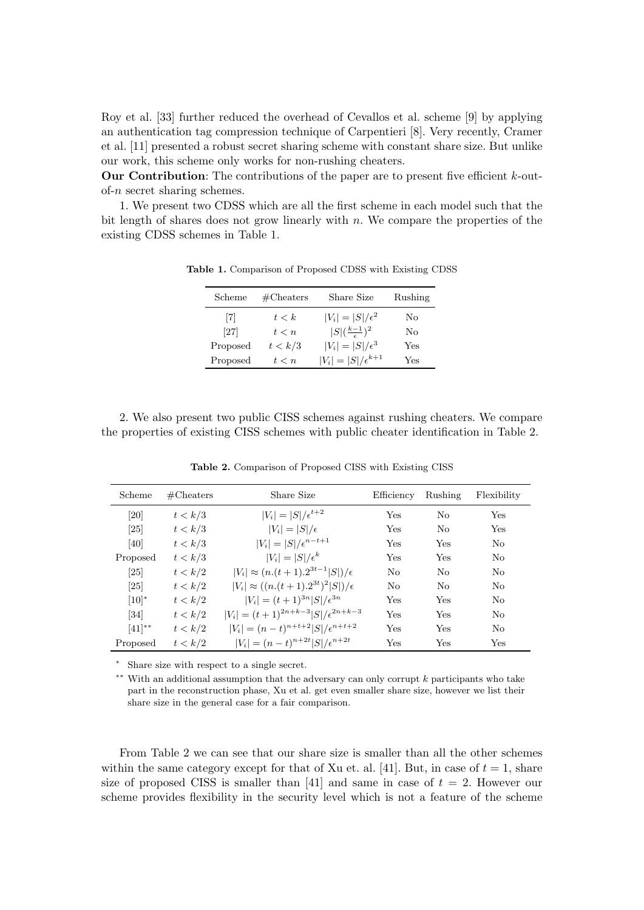Roy et al. [33] further reduced the overhead of Cevallos et al. scheme [9] by applying an authentication tag compression technique of Carpentieri [8]. Very recently, Cramer et al. [11] presented a robust secret sharing scheme with constant share size. But unlike our work, this scheme only works for non-rushing cheaters.

**Our Contribution:** The contributions of the paper are to present five efficient  $k$ -outof-n secret sharing schemes.

1. We present two CDSS which are all the first scheme in each model such that the bit length of shares does not grow linearly with  $n$ . We compare the properties of the existing CDSS schemes in Table 1.

| Scheme   | $\# \text{Cheaters}$ | Share Size                    | Rushing |
|----------|----------------------|-------------------------------|---------|
| [7]      | t < k                | $ V_i  =  S /\epsilon^2$      | No      |
| [27]     | t < n                | $ S (\frac{k-1}{\epsilon})^2$ | No      |
| Proposed | t < k/3              | $ V_i  =  S /\epsilon^3$      | Yes     |
| Proposed | t < n                | $ V_i  =  S /\epsilon^{k+1}$  | Yes     |

Table 1. Comparison of Proposed CDSS with Existing CDSS

2. We also present two public CISS schemes against rushing cheaters. We compare the properties of existing CISS schemes with public cheater identification in Table 2.

| Scheme      | $\#\text{Cheaters}$ | Share Size                                         | Efficiency | Rushing        | Flexibility    |  |
|-------------|---------------------|----------------------------------------------------|------------|----------------|----------------|--|
| [20]        | t < k/3             | $ V_i  =  S /\epsilon^{t+2}$                       | Yes        | N <sub>0</sub> | Yes            |  |
| [25]        | t < k/3             | $ V_i  =  S /\epsilon$                             | Yes        | N <sub>0</sub> | Yes            |  |
| [40]        | t < k/3             | $ V_i  =  S /\epsilon^{n-t+1}$                     | Yes        | Yes            | N <sub>0</sub> |  |
| Proposed    | t < k/3             | $ V_i  =  S /\epsilon^k$                           | Yes        | Yes            | N <sub>0</sub> |  |
| [25]        | t < k/2             | $ V_i  \approx (n.(t + 1).2^{3t-1} S )/\epsilon$   | $\rm No$   | N <sub>0</sub> | N <sub>0</sub> |  |
| [25]        | t < k/2             | $ V_i  \approx ((n.(t + 1).2^{3t})^2 S )/\epsilon$ | $\rm No$   | N <sub>0</sub> | N <sub>0</sub> |  |
| $[10]^*$    | t < k/2             | $ V_i  = (t+1)^{3n}  S  / \epsilon^{3n}$           | Yes        | Yes            | N <sub>0</sub> |  |
| [34]        | t < k/2             | $ V_i  = (t+1)^{2n+k-3}  S  / \epsilon^{2n+k-3}$   | Yes        | Yes            | N <sub>0</sub> |  |
| $[41]^{**}$ | t < k/2             | $ V_i  = (n-t)^{n+t+2}  S  / \epsilon^{n+t+2}$     | Yes        | Yes            | N <sub>0</sub> |  |
| Proposed    | t < k/2             | $ V_i  = (n-t)^{n+2t}  S  / \epsilon^{n+2t}$       | Yes        | Yes            | Yes            |  |

Table 2. Comparison of Proposed CISS with Existing CISS

<sup>∗</sup> Share size with respect to a single secret.

∗∗ With an additional assumption that the adversary can only corrupt k participants who take part in the reconstruction phase, Xu et al. get even smaller share size, however we list their share size in the general case for a fair comparison.

From Table 2 we can see that our share size is smaller than all the other schemes within the same category except for that of Xu et. al. [41]. But, in case of  $t = 1$ , share size of proposed CISS is smaller than [41] and same in case of  $t = 2$ . However our scheme provides flexibility in the security level which is not a feature of the scheme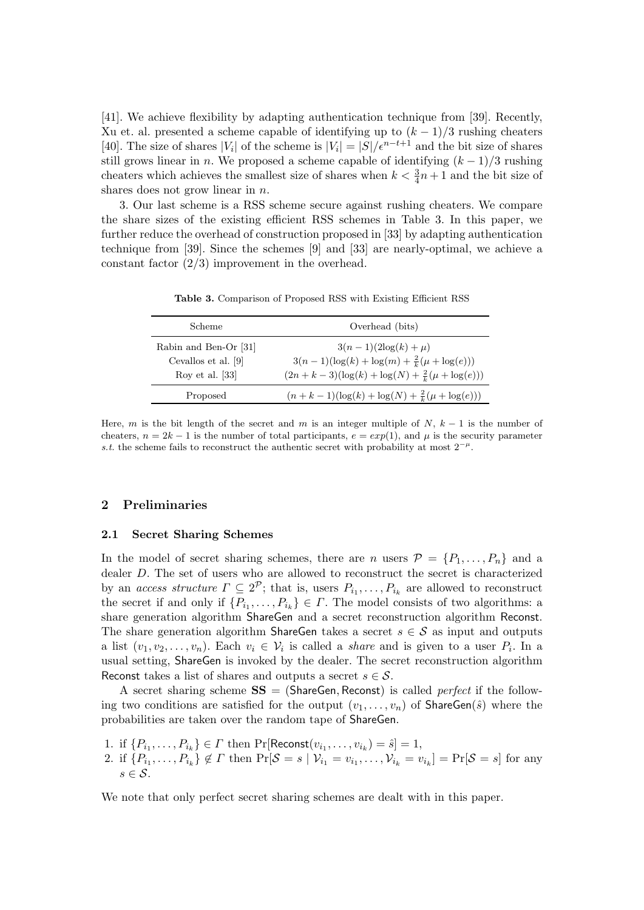[41]. We achieve flexibility by adapting authentication technique from [39]. Recently, Xu et. al. presented a scheme capable of identifying up to  $(k-1)/3$  rushing cheaters [40]. The size of shares |V<sub>i</sub>| of the scheme is  $|V_i| = |S|/\epsilon^{n-t+1}$  and the bit size of shares still grows linear in n. We proposed a scheme capable of identifying  $(k-1)/3$  rushing cheaters which achieves the smallest size of shares when  $k < \frac{3}{4}n + 1$  and the bit size of shares does not grow linear in *n*.

3. Our last scheme is a RSS scheme secure against rushing cheaters. We compare the share sizes of the existing efficient RSS schemes in Table 3. In this paper, we further reduce the overhead of construction proposed in [33] by adapting authentication technique from [39]. Since the schemes [9] and [33] are nearly-optimal, we achieve a constant factor  $(2/3)$  improvement in the overhead.

| Scheme                                                          | Overhead (bits)                                                                                                                                       |
|-----------------------------------------------------------------|-------------------------------------------------------------------------------------------------------------------------------------------------------|
| Rabin and Ben-Or [31]<br>Cevallos et al. [9]<br>Roy et al. [33] | $3(n-1)(2log(k) + \mu)$<br>$3(n-1)(\log(k) + \log(m) + \frac{2}{k}(\mu + \log(e)))$<br>$(2n + k - 3)(\log(k) + \log(N) + \frac{2}{k}(\mu + \log(e)))$ |
| Proposed                                                        | $(n+k-1)(\log(k) + \log(N) + \frac{2}{k}(\mu + \log(e)))$                                                                                             |

Table 3. Comparison of Proposed RSS with Existing Efficient RSS

Here, m is the bit length of the secret and m is an integer multiple of N,  $k - 1$  is the number of cheaters,  $n = 2k - 1$  is the number of total participants,  $e = exp(1)$ , and  $\mu$  is the security parameter s.t. the scheme fails to reconstruct the authentic secret with probability at most  $2^{-\mu}$ .

#### 2 Preliminaries

#### 2.1 Secret Sharing Schemes

In the model of secret sharing schemes, there are n users  $P = \{P_1, \ldots, P_n\}$  and a dealer D. The set of users who are allowed to reconstruct the secret is characterized by an access structure  $\Gamma \subseteq 2^{\mathcal{P}}$ ; that is, users  $P_{i_1}, \ldots, P_{i_k}$  are allowed to reconstruct the secret if and only if  $\{P_{i_1},...,P_{i_k}\}\in\Gamma$ . The model consists of two algorithms: a share generation algorithm ShareGen and a secret reconstruction algorithm Reconst. The share generation algorithm ShareGen takes a secret  $s \in \mathcal{S}$  as input and outputs a list  $(v_1, v_2, \ldots, v_n)$ . Each  $v_i \in V_i$  is called a *share* and is given to a user  $P_i$ . In a usual setting, ShareGen is invoked by the dealer. The secret reconstruction algorithm Reconst takes a list of shares and outputs a secret  $s \in \mathcal{S}$ .

A secret sharing scheme  $SS = (ShareGen, Record)$  is called *perfect* if the following two conditions are satisfied for the output  $(v_1, \ldots, v_n)$  of ShareGen( $\hat{s}$ ) where the probabilities are taken over the random tape of ShareGen.

- 1. if  $\{P_{i_1},...,P_{i_k}\} \in \Gamma$  then  $\Pr[\text{Reconst}(v_{i_1},...,v_{i_k}) = \hat{s}] = 1$ ,
- 2. if  $\{P_{i_1},\ldots,P_{i_k}\}\notin\Gamma$  then  $\Pr[\mathcal{S}=s\mid \mathcal{V}_{i_1}=v_{i_1},\ldots,\mathcal{V}_{i_k}=v_{i_k}]=\Pr[\mathcal{S}=s]$  for any  $s \in \mathcal{S}$ .

We note that only perfect secret sharing schemes are dealt with in this paper.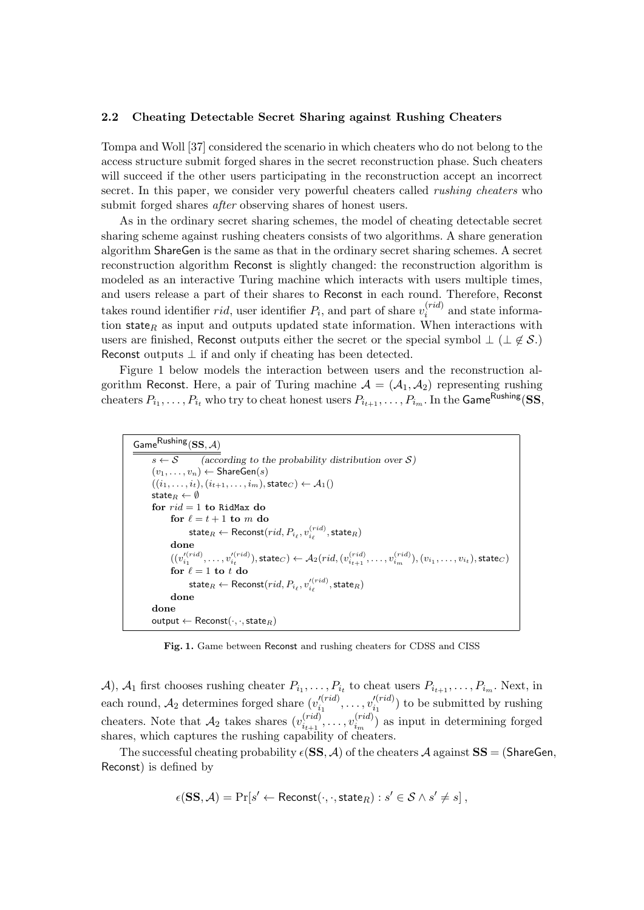## 2.2 Cheating Detectable Secret Sharing against Rushing Cheaters

Tompa and Woll [37] considered the scenario in which cheaters who do not belong to the access structure submit forged shares in the secret reconstruction phase. Such cheaters will succeed if the other users participating in the reconstruction accept an incorrect secret. In this paper, we consider very powerful cheaters called *rushing cheaters* who submit forged shares *after* observing shares of honest users.

As in the ordinary secret sharing schemes, the model of cheating detectable secret sharing scheme against rushing cheaters consists of two algorithms. A share generation algorithm ShareGen is the same as that in the ordinary secret sharing schemes. A secret reconstruction algorithm Reconst is slightly changed: the reconstruction algorithm is modeled as an interactive Turing machine which interacts with users multiple times, and users release a part of their shares to Reconst in each round. Therefore, Reconst takes round identifier *rid*, user identifier  $P_i$ , and part of share  $v_i^{(rid)}$  $i^{(ra)}$  and state information state<sub>R</sub> as input and outputs updated state information. When interactions with users are finished, Reconst outputs either the secret or the special symbol  $\perp (\perp \notin \mathcal{S}.)$ Reconst outputs  $\perp$  if and only if cheating has been detected.

Figure 1 below models the interaction between users and the reconstruction algorithm Reconst. Here, a pair of Turing machine  $A = (A_1, A_2)$  representing rushing cheaters  $P_{i_1},\ldots,P_{i_t}$  who try to cheat honest users  $P_{i_{t+1}},\ldots,P_{i_m}.$  In the <code>Game<sup>Rushing</sup>(SS,</code>

```
Game Rushing (\text{SS}, \mathcal{A})\overline{s \leftarrow S} (according to the probability distribution over S)
(v_1, \ldots, v_n) \leftarrow ShareGen(s)((i_1, \ldots, i_t), (i_{t+1}, \ldots, i_m),state_C) \leftarrow \mathcal{A}_1()state_R \leftarrow \emptysetfor rid = 1 to RidMax do
        for \ell = t + 1 to m do
                \mathsf{state}_R \leftarrow \mathsf{Reconst}(\mathit{rid}, P_{i_\ell}, v_{i_\ell}^{(\mathit{rid})}, \mathsf{state}_R)done
         ((v_{i_1}^{\prime (rid)},\ldots,v_{i_t}^{\prime (rid)}),state_C)\leftarrow \mathcal{A}_2(rid,(v_{i_{t+1}}^{(rid)},\ldots,v_{i_m}^{(rid)}),(v_{i_1},\ldots,v_{i_t}),state_C)for \ell = 1 to t do
                state_R \leftarrow \mathsf{Reconst}(\mathit{rid},P_{i_\ell}, v_{i_\ell}'^{(\mathit{rid})},\mathsf{state}_R)done
done
output \leftarrow \text{Reconst}(\cdot, \cdot, state_R)
```
Fig. 1. Game between Reconst and rushing cheaters for CDSS and CISS

A),  $A_1$  first chooses rushing cheater  $P_{i_1}, \ldots, P_{i_t}$  to cheat users  $P_{i_{t+1}}, \ldots, P_{i_m}$ . Next, in each round,  $A_2$  determines forged share  $(v_{i_1}^{' (rid)}$  $v_{i_1}^{(rid)},\ldots,v_{i_1}^{(rid)}$  $i_1^{(tra)}$ ) to be submitted by rushing cheaters. Note that  $\mathcal{A}_2$  takes shares  $(v_{i_{t+1}}^{(rid)})$  $v_{i_{t+1}}^{(rid)},\ldots,v_{i_m}^{(rid)}$  $\binom{(rad)}{i_m}$  as input in determining forged shares, which captures the rushing capability of cheaters.

The successful cheating probability  $\epsilon$ (SS, A) of the cheaters A against SS = (ShareGen, Reconst) is defined by

$$
\epsilon(\text{SS},\mathcal{A}) = \Pr[s' \leftarrow \text{Reconst}(\cdot,\cdot,\text{state}_R) : s' \in \mathcal{S} \land s' \neq s],
$$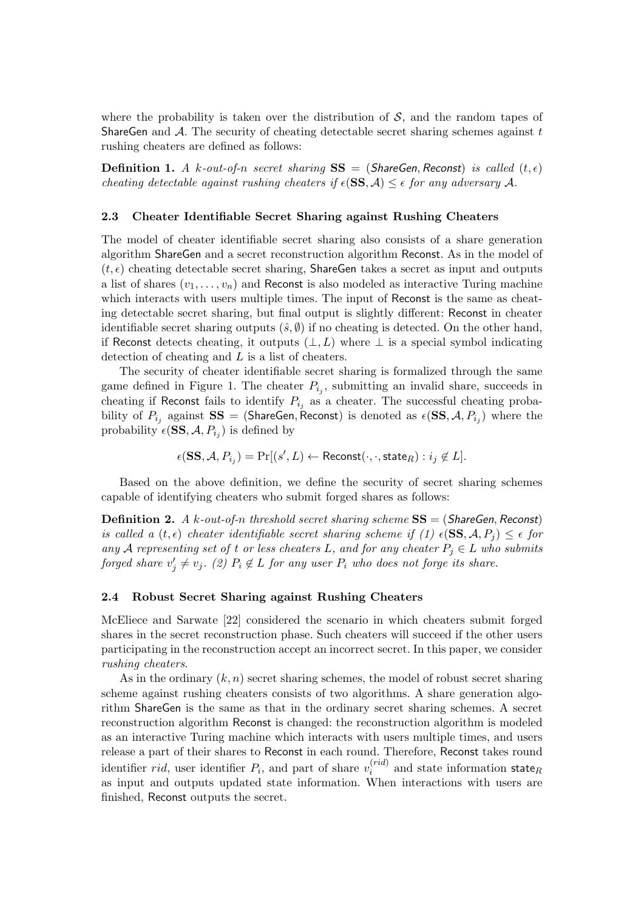where the probability is taken over the distribution of  $S$ , and the random tapes of ShareGen and  $A$ . The security of cheating detectable secret sharing schemes against  $t$ rushing cheaters are defined as follows:

**Definition 1.** A k-out-of-n secret sharing  $SS = (ShareGen, Reconst)$  is called  $(t, \epsilon)$ cheating detectable against rushing cheaters if  $\epsilon$ (SS, A)  $\leq \epsilon$  for any adversary A.

#### 2.3 Cheater Identifiable Secret Sharing against Rushing Cheaters

The model of cheater identifiable secret sharing also consists of a share generation algorithm ShareGen and a secret reconstruction algorithm Reconst. As in the model of  $(t, \epsilon)$  cheating detectable secret sharing, ShareGen takes a secret as input and outputs a list of shares  $(v_1, \ldots, v_n)$  and Reconst is also modeled as interactive Turing machine which interacts with users multiple times. The input of Reconst is the same as cheating detectable secret sharing, but final output is slightly different: Reconst in cheater identifiable secret sharing outputs  $(\hat{s}, \emptyset)$  if no cheating is detected. On the other hand, if Reconst detects cheating, it outputs  $(\perp, L)$  where  $\perp$  is a special symbol indicating detection of cheating and L is a list of cheaters.

The security of cheater identifiable secret sharing is formalized through the same game defined in Figure 1. The cheater  $P_{i_j}$ , submitting an invalid share, succeeds in cheating if Reconst fails to identify  $P_{i_j}$  as a cheater. The successful cheating probability of  $P_{i_j}$  against  $\textbf{SS} = (\textsf{ShareGen}, \textsf{Reconst})$  is denoted as  $\epsilon(\textbf{SS}, \mathcal{A}, P_{i_j})$  where the probability  $\epsilon$ (SS,  $\mathcal{A}, P_{i_j}$ ) is defined by

$$
\epsilon(\text{SS}, \mathcal{A}, P_{i_j}) = \Pr[(s', L) \leftarrow \text{Reconst}(\cdot, \cdot, \text{state}_R) : i_j \notin L].
$$

Based on the above definition, we define the security of secret sharing schemes capable of identifying cheaters who submit forged shares as follows:

**Definition 2.** A k-out-of-n threshold secret sharing scheme  $SS = (ShareGen, Records)$ is called a  $(t, \epsilon)$  cheater identifiable secret sharing scheme if (1)  $\epsilon$ (SS, A, P<sub>j</sub>)  $\leq \epsilon$  for any A representing set of t or less cheaters L, and for any cheater  $P_i \in L$  who submits forged share  $v'_j \neq v_j$ . (2)  $P_i \notin L$  for any user  $P_i$  who does not forge its share.

### 2.4 Robust Secret Sharing against Rushing Cheaters

McEliece and Sarwate [22] considered the scenario in which cheaters submit forged shares in the secret reconstruction phase. Such cheaters will succeed if the other users participating in the reconstruction accept an incorrect secret. In this paper, we consider rushing cheaters.

As in the ordinary  $(k, n)$  secret sharing schemes, the model of robust secret sharing scheme against rushing cheaters consists of two algorithms. A share generation algorithm ShareGen is the same as that in the ordinary secret sharing schemes. A secret reconstruction algorithm Reconst is changed: the reconstruction algorithm is modeled as an interactive Turing machine which interacts with users multiple times, and users release a part of their shares to Reconst in each round. Therefore, Reconst takes round identifier *rid*, user identifier  $P_i$ , and part of share  $v_i^{(rid)}$  $i_i^{(ra)}$  and state information state<sub>R</sub> as input and outputs updated state information. When interactions with users are finished, Reconst outputs the secret.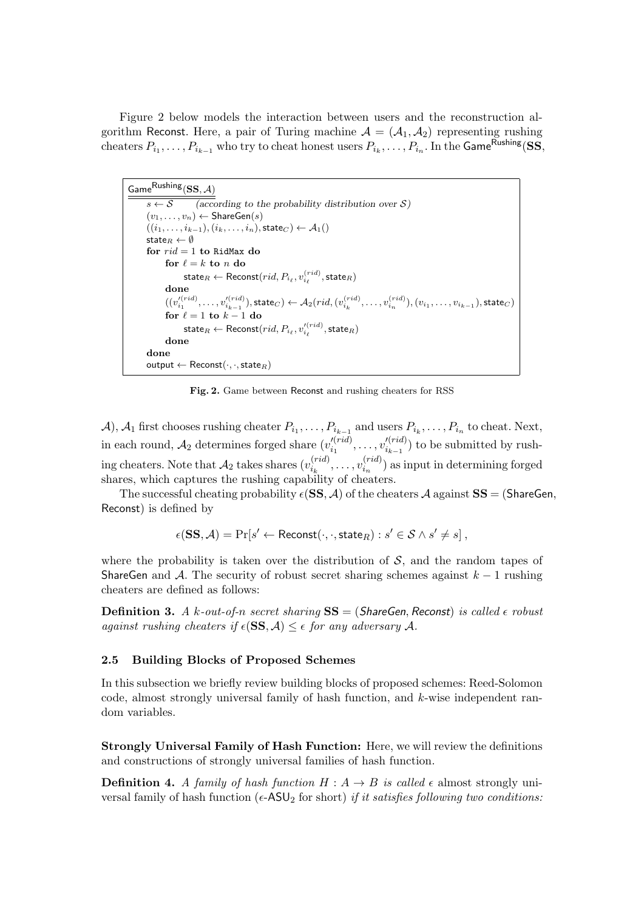Figure 2 below models the interaction between users and the reconstruction algorithm Reconst. Here, a pair of Turing machine  $A = (A_1, A_2)$  representing rushing cheaters  $P_{i_1},\ldots,P_{i_{k-1}}$  who try to cheat honest users  $P_{i_k},\ldots,P_{i_n}.$  In the <code>Game</code><sup>Rushing</sup>(SS,

```
\mathsf{Game}^\mathsf{Rushing}(\mathbf{SS}, \mathcal{A})s \leftarrow S (according to the probability distribution over S)
(v_1, \ldots, v_n) \leftarrow ShareGen(s)
((i_1, \ldots, i_{k-1}), (i_k, \ldots, i_n),state_C) \leftarrow A_1()stateR \leftarrow \emptysetfor rid = 1 to RidMax do
        for \ell = k to n do
                \mathsf{state}_R \leftarrow \mathsf{Reconst}(\mathit{rid}, P_{i_\ell}, v_{i_\ell}^{(\mathit{rid})}, \mathsf{state}_R)done
        ((v_{i_1}^{\prime (rid)},\ldots,v_{i_{k-1}}^{\prime (rid)}),state_C) \leftarrow \mathcal{A}_2(rid,(v_{i_k}^{(rid)},\ldots,v_{i_n}^{(rid)}),(v_{i_1},\ldots,v_{i_{k-1}}),state_C)for \ell = 1 to k - 1 do
                state_R \leftarrow \mathsf{Reconst}(\mathit{rid},P_{i_\ell}, v_{i_\ell}'^{(\mathit{rid})},\mathsf{state}_R)done
done
output \leftarrow \text{Reconst}(\cdot, \cdot, state_R)
```
Fig. 2. Game between Reconst and rushing cheaters for RSS

A),  $A_1$  first chooses rushing cheater  $P_{i_1}, \ldots, P_{i_{k-1}}$  and users  $P_{i_k}, \ldots, P_{i_n}$  to cheat. Next, in each round,  $A_2$  determines forged share  $(v_{i_1}^{' (rid)}$  $v_{i_1}^{(rid)}, \ldots, v_{i_{k-1}}'^{(rid)}$  $i_{i_{k-1}}^{\prime (rau)}$  to be submitted by rushing cheaters. Note that  $\mathcal{A}_2$  takes shares  $(v_{i_k}^{(rid)})$  $v_{i_k}^{(rid)}, \ldots, v_{i_n}^{(rid)}$  $i_n^{(ra)}$ ) as input in determining forged shares, which captures the rushing capability of cheaters.

The successful cheating probability  $\epsilon$ (SS, A) of the cheaters A against SS = (ShareGen, Reconst) is defined by

 $\epsilon(\text{SS}, \mathcal{A}) = \Pr[s' \leftarrow \text{Reconst}(\cdot, \cdot, \text{state}_R) : s' \in \mathcal{S} \land s' \neq s],$ 

where the probability is taken over the distribution of  $S$ , and the random tapes of ShareGen and A. The security of robust secret sharing schemes against  $k - 1$  rushing cheaters are defined as follows:

**Definition 3.** A k-out-of-n secret sharing  $SS = (ShareGen, Reconst)$  is called  $\epsilon$  robust against rushing cheaters if  $\epsilon$ (SS, A)  $\leq \epsilon$  for any adversary A.

## 2.5 Building Blocks of Proposed Schemes

In this subsection we briefly review building blocks of proposed schemes: Reed-Solomon code, almost strongly universal family of hash function, and k-wise independent random variables.

Strongly Universal Family of Hash Function: Here, we will review the definitions and constructions of strongly universal families of hash function.

**Definition 4.** A family of hash function  $H : A \rightarrow B$  is called  $\epsilon$  almost strongly universal family of hash function ( $\epsilon$ -ASU<sub>2</sub> for short) if it satisfies following two conditions: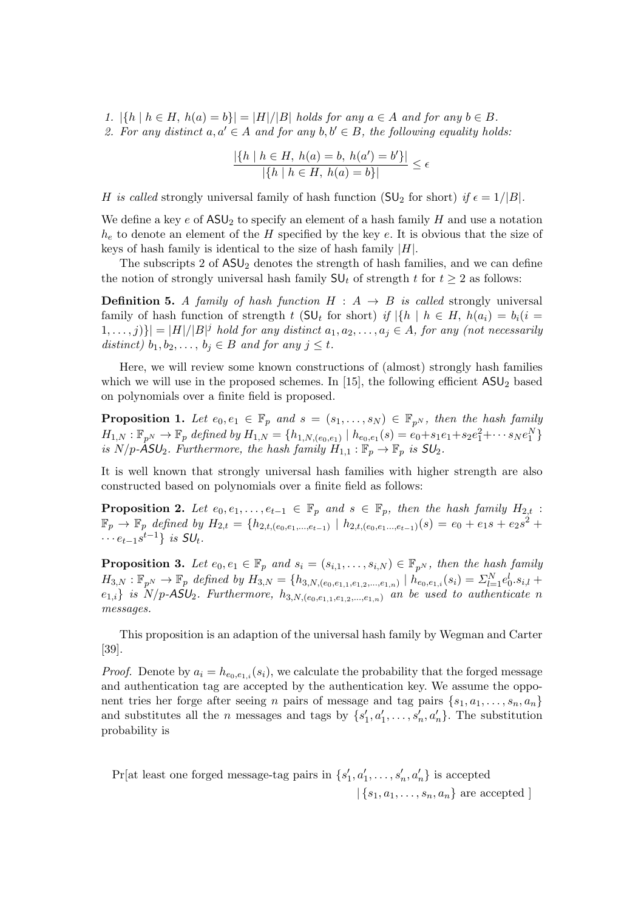1.  $|\{h \mid h \in H, h(a) = b\}| = |H|/|B|$  holds for any  $a \in A$  and for any  $b \in B$ . 2. For any distinct  $a, a' \in A$  and for any  $b, b' \in B$ , the following equality holds:

$$
\frac{|\{h \mid h \in H, h(a) = b, h(a') = b'\}|}{|\{h \mid h \in H, h(a) = b\}|} \le \epsilon
$$

H is called strongly universal family of hash function  $SU_2$  for short) if  $\epsilon = 1/|B|$ .

We define a key  $e$  of  $ASU<sub>2</sub>$  to specify an element of a hash family H and use a notation  $h_e$  to denote an element of the H specified by the key e. It is obvious that the size of keys of hash family is identical to the size of hash family  $|H|$ .

The subscripts 2 of  $ASU<sub>2</sub>$  denotes the strength of hash families, and we can define the notion of strongly universal hash family  $SU<sub>t</sub>$  of strength t for  $t \geq 2$  as follows:

**Definition 5.** A family of hash function  $H : A \rightarrow B$  is called strongly universal family of hash function of strength t (SU<sub>t</sub> for short) if  $|\{h \mid h \in H, h(a_i) = b_i(i =$  $\{1,\ldots,j\}\}=|H|/|B|^j$  hold for any distinct  $a_1,a_2,\ldots,a_j\in A$ , for any (not necessarily distinct)  $b_1, b_2, \ldots, b_j \in B$  and for any  $j \leq t$ .

Here, we will review some known constructions of (almost) strongly hash families which we will use in the proposed schemes. In [15], the following efficient  $ASU<sub>2</sub>$  based on polynomials over a finite field is proposed.

**Proposition 1.** Let  $e_0, e_1 \in \mathbb{F}_p$  and  $s = (s_1, \ldots, s_N) \in \mathbb{F}_{p^N}$ , then the hash family  $H_{1,N}: \mathbb{F}_{p^N} \to \mathbb{F}_p$  defined by  $H_{1,N} = \{h_{1,N,(e_0,e_1)} \mid h_{e_0,e_1}(s) = e_0 + s_1e_1 + s_2e_1^2 + \cdots s_Ne_1^N\}$ is  $N/p$ -ASU<sub>2</sub>. Furthermore, the hash family  $H_{1,1} : \mathbb{F}_p \to \mathbb{F}_p$  is  $SU_2$ .

It is well known that strongly universal hash families with higher strength are also constructed based on polynomials over a finite field as follows:

**Proposition 2.** Let  $e_0, e_1, \ldots, e_{t-1} \in \mathbb{F}_p$  and  $s \in \mathbb{F}_p$ , then the hash family  $H_{2,t}$ :  $\mathbb{F}_p \to \mathbb{F}_p$  defined by  $H_{2,t} = \{h_{2,t,(e_0,e_1,...,e_{t-1})} \mid h_{2,t,(e_0,e_1...,e_{t-1})}(s) = e_0 + e_1 s + e_2 s^2 + \cdots \}$  $\cdots e_{t-1} s^{t-1}$ } is  $SU_t$ .

**Proposition 3.** Let  $e_0, e_1 \in \mathbb{F}_p$  and  $s_i = (s_{i,1}, \ldots, s_{i,N}) \in \mathbb{F}_{p^N}$ , then the hash family  $H_{3,N}: \mathbb{F}_{p^N} \to \mathbb{F}_p$  defined by  $H_{3,N} = \{h_{3,N,(e_0,e_{1,1},e_{1,2},...,e_{1,n})} \mid h_{e_0,e_{1,i}}(s_i) = \sum_{l=1}^N e_0^l s_{i,l} +$  $e_{1,i}$  is N/p-ASU<sub>2</sub>. Furthermore,  $h_{3,N,(e_0,e_{1,1},e_{1,2},...,e_{1,n})}$  an be used to authenticate n messages.

This proposition is an adaption of the universal hash family by Wegman and Carter [39].

*Proof.* Denote by  $a_i = h_{e_0,e_1,i}(s_i)$ , we calculate the probability that the forged message and authentication tag are accepted by the authentication key. We assume the opponent tries her forge after seeing n pairs of message and tag pairs  $\{s_1, a_1, \ldots, s_n, a_n\}$ and substitutes all the *n* messages and tags by  $\{s'_1, a'_1, \ldots, s'_n, a'_n\}$ . The substitution probability is

Pr[at least one forged message-tag pairs in  $\{s'_1, a'_1, \ldots, s'_n, a'_n\}$  is accepted  $|\{s_1, a_1, \ldots, s_n, a_n\}|$  are accepted |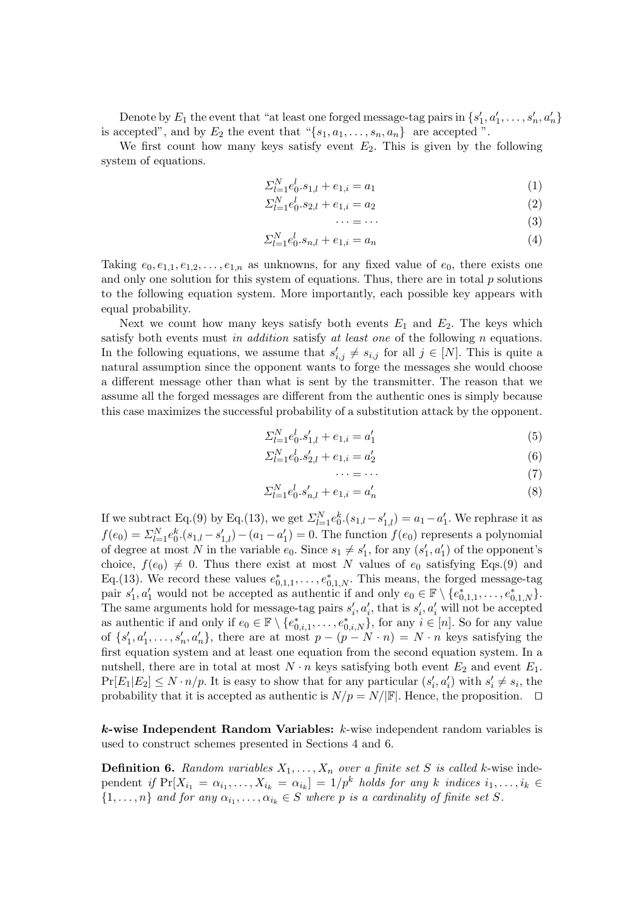Denote by  $E_1$  the event that "at least one forged message-tag pairs in  $\{s'_1, a'_1, \ldots, s'_n, a'_n\}$ is accepted", and by  $E_2$  the event that " $\{s_1, a_1, \ldots, s_n, a_n\}$  are accepted".

We first count how many keys satisfy event  $E_2$ . This is given by the following system of equations.

$$
\sum_{l=1}^{N} e_0^l \cdot s_{1,l} + e_{1,i} = a_1 \tag{1}
$$

$$
\sum_{l=1}^{N} e_0^l \cdot s_{2,l} + e_{1,i} = a_2 \tag{2}
$$

$$
\cdots = \cdots \tag{3}
$$

$$
\sum_{l=1}^{N} e_0^l \cdot s_{n,l} + e_{1,i} = a_n \tag{4}
$$

Taking  $e_0, e_{1,1}, e_{1,2}, \ldots, e_{1,n}$  as unknowns, for any fixed value of  $e_0$ , there exists one and only one solution for this system of equations. Thus, there are in total  $p$  solutions to the following equation system. More importantly, each possible key appears with equal probability.

Next we count how many keys satisfy both events  $E_1$  and  $E_2$ . The keys which satisfy both events must in addition satisfy at least one of the following n equations. In the following equations, we assume that  $s'_{i,j} \neq s_{i,j}$  for all  $j \in [N]$ . This is quite a natural assumption since the opponent wants to forge the messages she would choose a different message other than what is sent by the transmitter. The reason that we assume all the forged messages are different from the authentic ones is simply because this case maximizes the successful probability of a substitution attack by the opponent.

$$
\Sigma_{l=1}^{N} e_0^{l} s_{1,l}^{\prime} + e_{1,i} = a_1^{\prime}
$$
\n<sup>(5)</sup>

$$
\Sigma_{l=1}^{N} e_0^{l} s_{2,l}^{\prime} + e_{1,i} = a_2^{\prime}
$$
\n<sup>(6)</sup>

$$
\cdots = \cdots \tag{7}
$$

$$
\Sigma_{l=1}^{N} e_0^{l} s'_{n,l} + e_{1,i} = a'_n \tag{8}
$$

If we subtract Eq.(9) by Eq.(13), we get  $\Sigma_{l=1}^{N} e_0^k$ . $(s_{1,l}-s'_{1,l}) = a_1 - a'_1$ . We rephrase it as  $f(e_0) = \sum_{l=1}^{N} e_0^k (s_{1,l} - s'_{1,l}) - (a_1 - a'_1) = 0$ . The function  $f(e_0)$  represents a polynomial of degree at most N in the variable  $e_0$ . Since  $s_1 \neq s_1'$ , for any  $(s_1', a_1')$  of the opponent's choice,  $f(e_0) \neq 0$ . Thus there exist at most N values of  $e_0$  satisfying Eqs.(9) and Eq.(13). We record these values  $e_{0,1,1}^*$ ,  $\dots$ ,  $e_{0,1,N}^*$ . This means, the forged message-tag pair  $s'_1, a'_1$  would not be accepted as authentic if and only  $e_0 \in \mathbb{F} \setminus \{e_{0,1,1}^*, \ldots, e_{0,1,N}^*\}.$ The same arguments hold for message-tag pairs  $s'_i, a'_i$ , that is  $s'_i, a'_i$  will not be accepted as authentic if and only if  $e_0 \in \mathbb{F} \setminus \{e^*_{0,i,1}, \ldots, e^*_{0,i,N}\}$ , for any  $i \in [n]$ . So for any value of  $\{s'_1, a'_1, \ldots, s'_n, a'_n\}$ , there are at most  $p - (p - N \cdot n) = N \cdot n$  keys satisfying the first equation system and at least one equation from the second equation system. In a nutshell, there are in total at most  $N \cdot n$  keys satisfying both event  $E_2$  and event  $E_1$ .  $Pr[E_1|E_2] \leq N \cdot n/p$ . It is easy to show that for any particular  $(s'_i, a'_i)$  with  $s'_i \neq s_i$ , the probability that it is accepted as authentic is  $N/p = N/|\mathbb{F}|$ . Hence, the proposition.  $\Box$ 

**k-wise Independent Random Variables:**  $k$ -wise independent random variables is used to construct schemes presented in Sections 4 and 6.

**Definition 6.** Random variables  $X_1, \ldots, X_n$  over a finite set S is called k-wise independent if  $Pr[X_{i_1} = \alpha_{i_1}, \ldots, X_{i_k} = \alpha_{i_k}] = 1/p^k$  holds for any k indices  $i_1, \ldots, i_k \in$  $\{1,\ldots,n\}$  and for any  $\alpha_{i_1},\ldots,\alpha_{i_k}\in S$  where p is a cardinality of finite set S.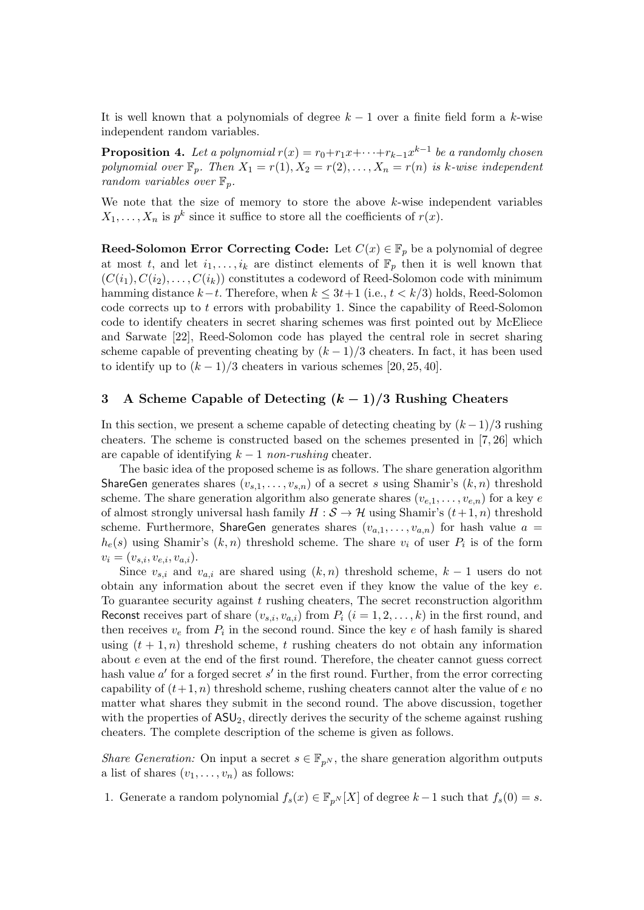It is well known that a polynomials of degree  $k-1$  over a finite field form a k-wise independent random variables.

**Proposition 4.** Let a polynomial  $r(x) = r_0 + r_1x + \cdots + r_{k-1}x^{k-1}$  be a randomly chosen polynomial over  $\mathbb{F}_p$ . Then  $X_1 = r(1), X_2 = r(2), \ldots, X_n = r(n)$  is k-wise independent random variables over  $\mathbb{F}_p$ .

We note that the size of memory to store the above k-wise independent variables  $X_1, \ldots, X_n$  is  $p^k$  since it suffice to store all the coefficients of  $r(x)$ .

**Reed-Solomon Error Correcting Code:** Let  $C(x) \in \mathbb{F}_p$  be a polynomial of degree at most t, and let  $i_1, \ldots, i_k$  are distinct elements of  $\mathbb{F}_p$  then it is well known that  $(C(i_1), C(i_2), \ldots, C(i_k))$  constitutes a codeword of Reed-Solomon code with minimum hamming distance  $k-t$ . Therefore, when  $k \leq 3t+1$  (i.e.,  $t < k/3$ ) holds, Reed-Solomon code corrects up to t errors with probability 1. Since the capability of Reed-Solomon code to identify cheaters in secret sharing schemes was first pointed out by McEliece and Sarwate [22], Reed-Solomon code has played the central role in secret sharing scheme capable of preventing cheating by  $(k-1)/3$  cheaters. In fact, it has been used to identify up to  $(k-1)/3$  cheaters in various schemes [20, 25, 40].

# 3 A Scheme Capable of Detecting  $(k-1)/3$  Rushing Cheaters

In this section, we present a scheme capable of detecting cheating by  $(k-1)/3$  rushing cheaters. The scheme is constructed based on the schemes presented in [7, 26] which are capable of identifying  $k - 1$  non-rushing cheater.

The basic idea of the proposed scheme is as follows. The share generation algorithm ShareGen generates shares  $(v_{s,1},...,v_{s,n})$  of a secret s using Shamir's  $(k, n)$  threshold scheme. The share generation algorithm also generate shares  $(v_{e,1}, \ldots, v_{e,n})$  for a key e of almost strongly universal hash family  $H : \mathcal{S} \to \mathcal{H}$  using Shamir's  $(t+1, n)$  threshold scheme. Furthermore, ShareGen generates shares  $(v_{a,1},...,v_{a,n})$  for hash value  $a =$  $h_e(s)$  using Shamir's  $(k, n)$  threshold scheme. The share  $v_i$  of user  $P_i$  is of the form  $v_i = (v_{s,i}, v_{e,i}, v_{a,i}).$ 

Since  $v_{s,i}$  and  $v_{a,i}$  are shared using  $(k, n)$  threshold scheme,  $k - 1$  users do not obtain any information about the secret even if they know the value of the key e. To guarantee security against  $t$  rushing cheaters, The secret reconstruction algorithm Reconst receives part of share  $(v_{s,i}, v_{a,i})$  from  $P_i$   $(i = 1, 2, ..., k)$  in the first round, and then receives  $v_e$  from  $P_i$  in the second round. Since the key e of hash family is shared using  $(t + 1, n)$  threshold scheme, t rushing cheaters do not obtain any information about e even at the end of the first round. Therefore, the cheater cannot guess correct hash value  $a'$  for a forged secret  $s'$  in the first round. Further, from the error correcting capability of  $(t+1, n)$  threshold scheme, rushing cheaters cannot alter the value of e no matter what shares they submit in the second round. The above discussion, together with the properties of  $ASU_2$ , directly derives the security of the scheme against rushing cheaters. The complete description of the scheme is given as follows.

Share Generation: On input a secret  $s \in \mathbb{F}_{p^N}$ , the share generation algorithm outputs a list of shares  $(v_1, \ldots, v_n)$  as follows:

1. Generate a random polynomial  $f_s(x) \in \mathbb{F}_{p^N}[X]$  of degree  $k-1$  such that  $f_s(0) = s$ .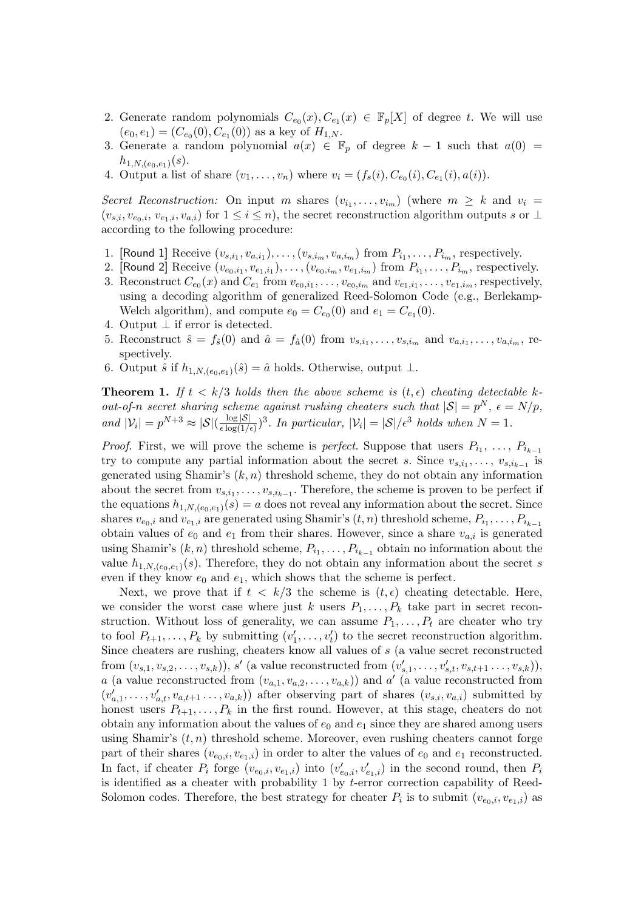- 2. Generate random polynomials  $C_{e_0}(x), C_{e_1}(x) \in \mathbb{F}_p[X]$  of degree t. We will use  $(e_0, e_1) = (C_{e_0}(0), C_{e_1}(0))$  as a key of  $H_{1,N}$ .
- 3. Generate a random polynomial  $a(x) \in \mathbb{F}_p$  of degree  $k-1$  such that  $a(0) =$  $h_{1,N,(e_0,e_1)}(s).$
- 4. Output a list of share  $(v_1, ..., v_n)$  where  $v_i = (f_s(i), C_{e_0}(i), C_{e_1}(i), a(i))$ .

Secret Reconstruction: On input m shares  $(v_{i_1},...,v_{i_m})$  (where  $m \geq k$  and  $v_i =$  $(v_{s,i}, v_{e_0,i}, v_{e_1,i}, v_{a,i})$  for  $1 \leq i \leq n$ , the secret reconstruction algorithm outputs s or  $\perp$ according to the following procedure:

- 1. [Round 1] Receive  $(v_{s,i_1}, v_{a,i_1}), \ldots, (v_{s,i_m}, v_{a,i_m})$  from  $P_{i_1}, \ldots, P_{i_m}$ , respectively.
- 2. [Round 2] Receive  $(v_{e_0,i_1}, v_{e_1,i_1}), \ldots, (v_{e_0,i_m}, v_{e_1,i_m})$  from  $P_{i_1}, \ldots, P_{i_m}$ , respectively.
- 3. Reconstruct  $C_{e_0}(x)$  and  $C_{e_1}$  from  $v_{e_0,i_1},\ldots,v_{e_0,i_m}$  and  $v_{e_1,i_1},\ldots,v_{e_1,i_m}$ , respectively, using a decoding algorithm of generalized Reed-Solomon Code (e.g., Berlekamp-Welch algorithm), and compute  $e_0 = C_{e_0}(0)$  and  $e_1 = C_{e_1}(0)$ .
- 4. Output  $\perp$  if error is detected.
- 5. Reconstruct  $\hat{s} = f_{\hat{s}}(0)$  and  $\hat{a} = f_{\hat{a}}(0)$  from  $v_{s,i_1}, \ldots, v_{s,i_m}$  and  $v_{a,i_1}, \ldots, v_{a,i_m}$ , respectively.
- 6. Output  $\hat{s}$  if  $h_{1,N,(e_0,e_1)}(\hat{s}) = \hat{a}$  holds. Otherwise, output  $\perp$ .

**Theorem 1.** If  $t < k/3$  holds then the above scheme is  $(t, \epsilon)$  cheating detectable kout-of-n secret sharing scheme against rushing cheaters such that  $|S| = p^N$ ,  $\epsilon = N/p$ , and  $|\mathcal{V}_i| = p^{N+3} \approx |\mathcal{S}| \left( \frac{\log |\mathcal{S}|}{\epsilon \log(1)} \right)$  $\frac{\log |\mathcal{S}|}{\epsilon \log(1/\epsilon)}$ <sup>3</sup>. In particular,  $|\mathcal{V}_i| = |\mathcal{S}|/\epsilon^3$  holds when  $N = 1$ .

*Proof.* First, we will prove the scheme is *perfect*. Suppose that users  $P_{i_1}, \ldots, P_{i_{k-1}}$ try to compute any partial information about the secret s. Since  $v_{s,i_1}, \ldots, v_{s,i_{k-1}}$  is generated using Shamir's  $(k, n)$  threshold scheme, they do not obtain any information about the secret from  $v_{s,i_1}, \ldots, v_{s,i_{k-1}}$ . Therefore, the scheme is proven to be perfect if the equations  $h_{1,N,(e_0,e_1)}(s) = a$  does not reveal any information about the secret. Since shares  $v_{e_0,i}$  and  $v_{e_1,i}$  are generated using Shamir's  $(t, n)$  threshold scheme,  $P_{i_1}, \ldots, P_{i_{k-1}}$ obtain values of  $e_0$  and  $e_1$  from their shares. However, since a share  $v_{a,i}$  is generated using Shamir's  $(k, n)$  threshold scheme,  $P_{i_1}, \ldots, P_{i_{k-1}}$  obtain no information about the value  $h_{1,N,(e_0,e_1)}(s)$ . Therefore, they do not obtain any information about the secret s even if they know  $e_0$  and  $e_1$ , which shows that the scheme is perfect.

Next, we prove that if  $t < k/3$  the scheme is  $(t, \epsilon)$  cheating detectable. Here, we consider the worst case where just k users  $P_1, \ldots, P_k$  take part in secret reconstruction. Without loss of generality, we can assume  $P_1, \ldots, P_t$  are cheater who try to fool  $P_{t+1}, \ldots, P_k$  by submitting  $(v'_1, \ldots, v'_t)$  to the secret reconstruction algorithm. Since cheaters are rushing, cheaters know all values of s (a value secret reconstructed from  $(v_{s,1}, v_{s,2}, \ldots, v_{s,k})$ ), s' (a value reconstructed from  $(v'_{s,1}, \ldots, v'_{s,t}, v_{s,t+1} \ldots, v_{s,k})$ ), a (a value reconstructed from  $(v_{a,1}, v_{a,2}, \ldots, v_{a,k})$ ) and a' (a value reconstructed from  $(v'_{a,1},\ldots,v'_{a,t},v_{a,t+1}\ldots,v_{a,k})$  after observing part of shares  $(v_{s,i},v_{a,i})$  submitted by honest users  $P_{t+1}, \ldots, P_k$  in the first round. However, at this stage, cheaters do not obtain any information about the values of  $e_0$  and  $e_1$  since they are shared among users using Shamir's  $(t, n)$  threshold scheme. Moreover, even rushing cheaters cannot forge part of their shares  $(v_{e_0,i}, v_{e_1,i})$  in order to alter the values of  $e_0$  and  $e_1$  reconstructed. In fact, if cheater  $P_i$  forge  $(v_{e_0,i}, v_{e_1,i})$  into  $(v'_{e_0,i}, v'_{e_1,i})$  in the second round, then  $P_i$ is identified as a cheater with probability 1 by  $t$ -error correction capability of Reed-Solomon codes. Therefore, the best strategy for cheater  $P_i$  is to submit  $(v_{e_0,i}, v_{e_1,i})$  as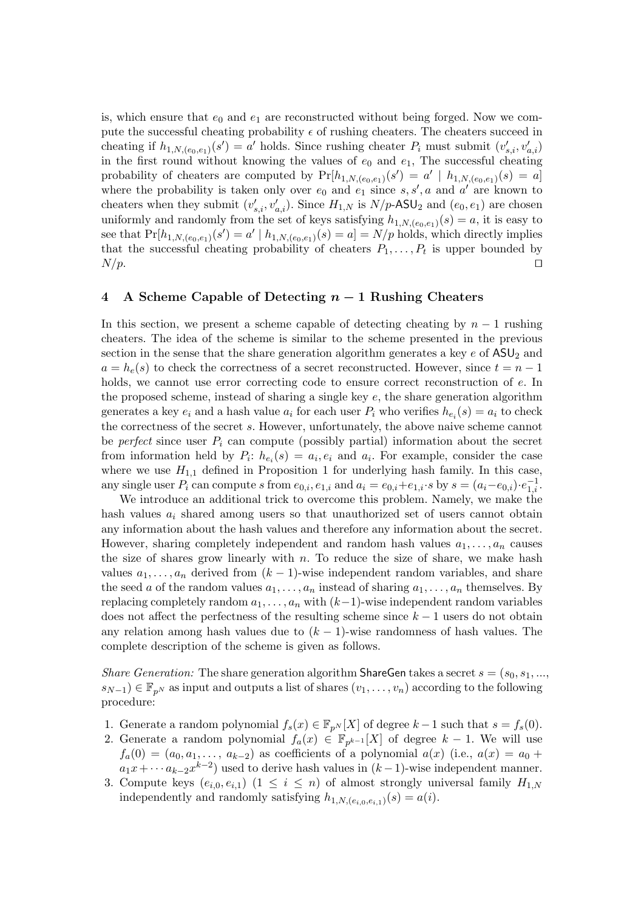is, which ensure that  $e_0$  and  $e_1$  are reconstructed without being forged. Now we compute the successful cheating probability  $\epsilon$  of rushing cheaters. The cheaters succeed in cheating if  $h_{1,N,(e_0,e_1)}(s') = a'$  holds. Since rushing cheater  $P_i$  must submit  $(v'_{s,i}, v'_{a,i})$ in the first round without knowing the values of  $e_0$  and  $e_1$ , The successful cheating probability of cheaters are computed by  $Pr[h_{1,N,(e_0,e_1)}(s') = a' | h_{1,N,(e_0,e_1)}(s) = a]$ where the probability is taken only over  $e_0$  and  $e_1$  since  $s, s', a$  and  $a'$  are known to cheaters when they submit  $(v'_{s,i}, v'_{a,i})$ . Since  $H_{1,N}$  is  $N/p$ -ASU<sub>2</sub> and  $(e_0, e_1)$  are chosen uniformly and randomly from the set of keys satisfying  $h_{1,N,(e_0,e_1)}(s) = a$ , it is easy to see that  $Pr[h_{1,N,(e_0,e_1)}(s') = a' | h_{1,N,(e_0,e_1)}(s) = a] = N/p$  holds, which directly implies that the successful cheating probability of cheaters  $P_1, \ldots, P_t$  is upper bounded by  $N/p$ .

## 4 A Scheme Capable of Detecting  $n-1$  Rushing Cheaters

In this section, we present a scheme capable of detecting cheating by  $n - 1$  rushing cheaters. The idea of the scheme is similar to the scheme presented in the previous section in the sense that the share generation algorithm generates a key  $e$  of  $ASU<sub>2</sub>$  and  $a = h_e(s)$  to check the correctness of a secret reconstructed. However, since  $t = n - 1$ holds, we cannot use error correcting code to ensure correct reconstruction of e. In the proposed scheme, instead of sharing a single key  $e$ , the share generation algorithm generates a key  $e_i$  and a hash value  $a_i$  for each user  $P_i$  who verifies  $h_{e_i}(s) = a_i$  to check the correctness of the secret s. However, unfortunately, the above naive scheme cannot be *perfect* since user  $P_i$  can compute (possibly partial) information about the secret from information held by  $P_i: h_{e_i}(s) = a_i, e_i$  and  $a_i$ . For example, consider the case where we use  $H_{1,1}$  defined in Proposition 1 for underlying hash family. In this case, any single user  $P_i$  can compute s from  $e_{0,i}$ ,  $e_{1,i}$  and  $a_i = e_{0,i} + e_{1,i} \cdot s$  by  $s = (a_i - e_{0,i}) \cdot e_{1,i}^{-1}$ .

We introduce an additional trick to overcome this problem. Namely, we make the hash values  $a_i$  shared among users so that unauthorized set of users cannot obtain any information about the hash values and therefore any information about the secret. However, sharing completely independent and random hash values  $a_1, \ldots, a_n$  causes the size of shares grow linearly with  $n$ . To reduce the size of share, we make hash values  $a_1, \ldots, a_n$  derived from  $(k-1)$ -wise independent random variables, and share the seed a of the random values  $a_1, \ldots, a_n$  instead of sharing  $a_1, \ldots, a_n$  themselves. By replacing completely random  $a_1, \ldots, a_n$  with  $(k-1)$ -wise independent random variables does not affect the perfectness of the resulting scheme since  $k-1$  users do not obtain any relation among hash values due to  $(k - 1)$ -wise randomness of hash values. The complete description of the scheme is given as follows.

Share Generation: The share generation algorithm ShareGen takes a secret  $s = (s_0, s_1, ...,$  $s_{N-1}$ ) ∈  $\mathbb{F}_{p^N}$  as input and outputs a list of shares  $(v_1, \ldots, v_n)$  according to the following procedure:

- 1. Generate a random polynomial  $f_s(x) \in \mathbb{F}_{p^N}[X]$  of degree  $k-1$  such that  $s = f_s(0)$ .
- 2. Generate a random polynomial  $f_a(x) \in \mathbb{F}_{p^{k-1}}[X]$  of degree  $k-1$ . We will use  $f_a(0) = (a_0, a_1, \ldots, a_{k-2})$  as coefficients of a polynomial  $a(x)$  (i.e.,  $a(x) = a_0 +$  $a_1x + \cdots + a_{k-2}x^{k-2}$  used to derive hash values in  $(k-1)$ -wise independent manner.
- 3. Compute keys  $(e_{i,0}, e_{i,1})$   $(1 \leq i \leq n)$  of almost strongly universal family  $H_{1,N}$ independently and randomly satisfying  $h_{1,N,(e_{i,0},e_{i,1})}(s) = a(i)$ .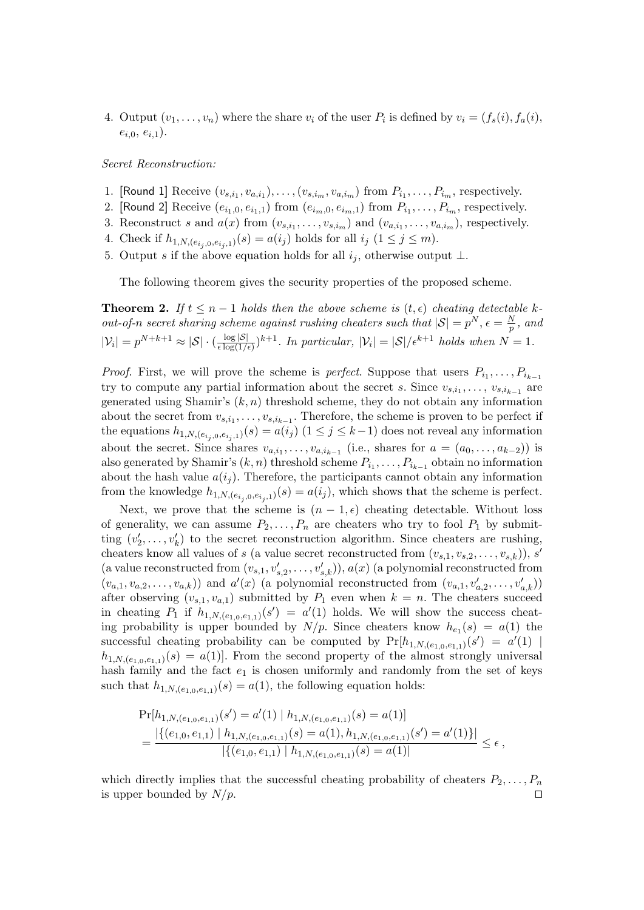4. Output  $(v_1, \ldots, v_n)$  where the share  $v_i$  of the user  $P_i$  is defined by  $v_i = (f_s(i), f_a(i),$  $e_{i,0}, e_{i,1}$ ).

#### Secret Reconstruction:

- 1. [Round 1] Receive  $(v_{s,i_1}, v_{a,i_1}), \ldots, (v_{s,i_m}, v_{a,i_m})$  from  $P_{i_1}, \ldots, P_{i_m}$ , respectively.
- 2. [Round 2] Receive  $(e_{i_1,0}, e_{i_1,1})$  from  $(e_{i_m,0}, e_{i_m,1})$  from  $P_{i_1}, \ldots, P_{i_m}$ , respectively.
- 3. Reconstruct s and  $a(x)$  from  $(v_{s,i_1},...,v_{s,i_m})$  and  $(v_{a,i_1},...,v_{a,i_m})$ , respectively.
- 4. Check if  $h_{1,N,(e_{i_j,0},e_{i_j,1})}(s) = a(i_j)$  holds for all  $i_j$   $(1 \leq j \leq m)$ .
- 5. Output s if the above equation holds for all  $i_j$ , otherwise output ⊥.

The following theorem gives the security properties of the proposed scheme.

**Theorem 2.** If  $t \leq n-1$  holds then the above scheme is  $(t, \epsilon)$  cheating detectable kout-of-n secret sharing scheme against rushing cheaters such that  $|S| = p^N$ ,  $\epsilon = \frac{N}{n}$  $\frac{N}{p},\;ana$  $|\mathcal{V}_i| = p^{N+k+1} \approx |\mathcal{S}| \cdot (\frac{\log |\mathcal{S}|}{\epsilon \log(1/n))}$  $\frac{\log |\mathcal{S}|}{\epsilon \log(1/\epsilon)}$ <sup>k+1</sup>. In particular,  $|\mathcal{V}_i| = |\mathcal{S}|/\epsilon^{k+1}$  holds when  $N = 1$ .

*Proof.* First, we will prove the scheme is *perfect*. Suppose that users  $P_{i_1}, \ldots, P_{i_{k-1}}$ try to compute any partial information about the secret s. Since  $v_{s,i_1}, \ldots, v_{s,i_{k-1}}$  are generated using Shamir's  $(k, n)$  threshold scheme, they do not obtain any information about the secret from  $v_{s,i_1}, \ldots, v_{s,i_{k-1}}$ . Therefore, the scheme is proven to be perfect if the equations  $h_{1,N,(e_{i_j},0,e_{i_j},1)}(s) = a(i_j)$   $(1 \leq j \leq k-1)$  does not reveal any information about the secret. Since shares  $v_{a,i_1}, \ldots, v_{a,i_{k-1}}$  (i.e., shares for  $a = (a_0, \ldots, a_{k-2})$ ) is also generated by Shamir's  $(k, n)$  threshold scheme  $P_{i_1}, \ldots, P_{i_{k-1}}$  obtain no information about the hash value  $a(i_j)$ . Therefore, the participants cannot obtain any information from the knowledge  $h_{1,N,(e_{i_j,0},e_{i_j,1})}(s) = a(i_j)$ , which shows that the scheme is perfect.

Next, we prove that the scheme is  $(n - 1, \epsilon)$  cheating detectable. Without loss of generality, we can assume  $P_2, \ldots, P_n$  are cheaters who try to fool  $P_1$  by submitting  $(v'_2, \ldots, v'_k)$  to the secret reconstruction algorithm. Since cheaters are rushing, cheaters know all values of s (a value secret reconstructed from  $(v_{s,1}, v_{s,2}, \ldots, v_{s,k})$ ), s' (a value reconstructed from  $(v_{s,1}, v'_{s,2}, \ldots, v'_{s,k})$ ),  $a(x)$  (a polynomial reconstructed from  $(v_{a,1}, v_{a,2}, \ldots, v_{a,k})$  and  $a'(x)$  (a polynomial reconstructed from  $(v_{a,1}, v'_{a,2}, \ldots, v'_{a,k})$ ) after observing  $(v_{s,1}, v_{a,1})$  submitted by  $P_1$  even when  $k = n$ . The cheaters succeed in cheating  $P_1$  if  $h_{1,N,(e_{1,0},e_{1,1})}(s') = a'(1)$  holds. We will show the success cheating probability is upper bounded by  $N/p$ . Since cheaters know  $h_{e_1}(s) = a(1)$  the successful cheating probability can be computed by  $Pr[h_{1,N,(e_{1,0},e_{1,1})}(s') = a'(1)$  $h_{1,N,(e_{1,0},e_{1,1})}(s) = a(1)$ . From the second property of the almost strongly universal hash family and the fact  $e_1$  is chosen uniformly and randomly from the set of keys such that  $h_{1,N,(e_1,0,e_1,1)}(s) = a(1)$ , the following equation holds:

$$
\Pr[h_{1,N,(e_{1,0},e_{1,1})}(s') = a'(1) | h_{1,N,(e_{1,0},e_{1,1})}(s) = a(1)]
$$
  
= 
$$
\frac{|\{(e_{1,0},e_{1,1}) | h_{1,N,(e_{1,0},e_{1,1})}(s) = a(1), h_{1,N,(e_{1,0},e_{1,1})}(s') = a'(1)\}|}{|\{(e_{1,0},e_{1,1}) | h_{1,N,(e_{1,0},e_{1,1})}(s) = a(1)|} \le \epsilon,
$$

which directly implies that the successful cheating probability of cheaters  $P_2, \ldots, P_n$ is upper bounded by  $N/p$ .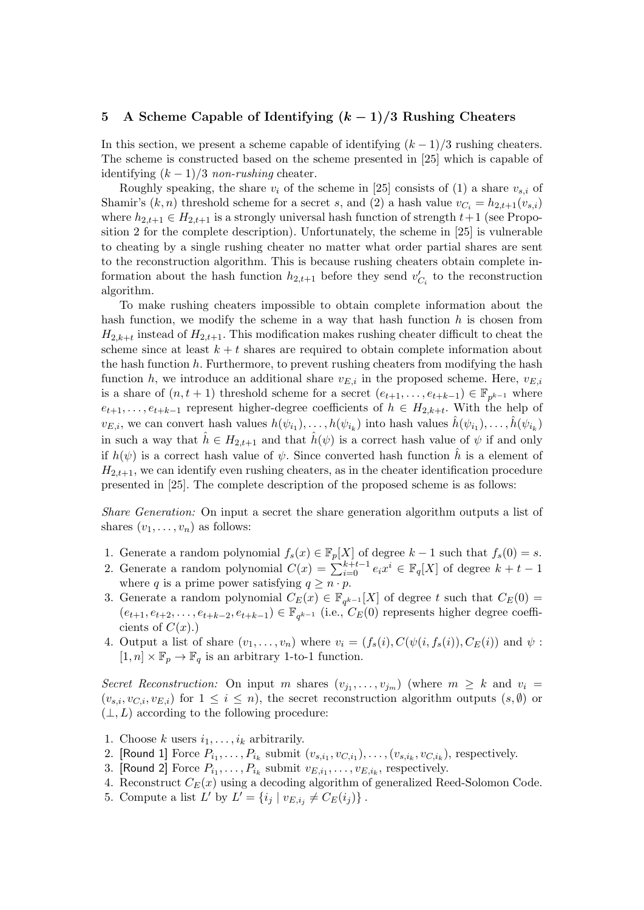## 5 A Scheme Capable of Identifying  $(k-1)/3$  Rushing Cheaters

In this section, we present a scheme capable of identifying  $(k-1)/3$  rushing cheaters. The scheme is constructed based on the scheme presented in [25] which is capable of identifying  $(k-1)/3$  non-rushing cheater.

Roughly speaking, the share  $v_i$  of the scheme in [25] consists of (1) a share  $v_{s,i}$  of Shamir's  $(k, n)$  threshold scheme for a secret s, and (2) a hash value  $v_{C_i} = h_{2,t+1}(v_{s,i})$ where  $h_{2,t+1} \in H_{2,t+1}$  is a strongly universal hash function of strength  $t+1$  (see Proposition 2 for the complete description). Unfortunately, the scheme in [25] is vulnerable to cheating by a single rushing cheater no matter what order partial shares are sent to the reconstruction algorithm. This is because rushing cheaters obtain complete information about the hash function  $h_{2,t+1}$  before they send  $v'_{C_i}$  to the reconstruction algorithm.

To make rushing cheaters impossible to obtain complete information about the hash function, we modify the scheme in a way that hash function  $h$  is chosen from  $H_{2,k+t}$  instead of  $H_{2,t+1}$ . This modification makes rushing cheater difficult to cheat the scheme since at least  $k + t$  shares are required to obtain complete information about the hash function  $h$ . Furthermore, to prevent rushing cheaters from modifying the hash function h, we introduce an additional share  $v_{E,i}$  in the proposed scheme. Here,  $v_{E,i}$ is a share of  $(n, t + 1)$  threshold scheme for a secret  $(e_{t+1}, \ldots, e_{t+k-1}) \in \mathbb{F}_{p^{k-1}}$  where  $e_{t+1}, \ldots, e_{t+k-1}$  represent higher-degree coefficients of  $h \in H_{2,k+t}$ . With the help of  $v_{E,i}$ , we can convert hash values  $h(\psi_{i_1}), \ldots, h(\psi_{i_k})$  into hash values  $\hat{h}(\psi_{i_1}), \ldots, \hat{h}(\psi_{i_k})$ in such a way that  $\hat{h} \in H_{2,t+1}$  and that  $\hat{h}(\psi)$  is a correct hash value of  $\psi$  if and only if  $h(\psi)$  is a correct hash value of  $\psi$ . Since converted hash function  $\hat{h}$  is a element of  $H_{2,t+1}$ , we can identify even rushing cheaters, as in the cheater identification procedure presented in [25]. The complete description of the proposed scheme is as follows:

Share Generation: On input a secret the share generation algorithm outputs a list of shares  $(v_1, \ldots, v_n)$  as follows:

- 1. Generate a random polynomial  $f_s(x) \in \mathbb{F}_p[X]$  of degree  $k-1$  such that  $f_s(0) = s$ .
- 2. Generate a random polynomial  $C(x) = \sum_{i=0}^{k+t-1} e_i x^i \in \mathbb{F}_q[X]$  of degree  $k+t-1$ where q is a prime power satisfying  $q \geq n \cdot p$ .
- 3. Generate a random polynomial  $C_E(x) \in \mathbb{F}_{q^{k-1}}[X]$  of degree t such that  $C_E(0) =$  $(e_{t+1}, e_{t+2}, \ldots, e_{t+k-2}, e_{t+k-1}) \in \mathbb{F}_{q^{k-1}}$  (i.e.,  $C_E(0)$  represents higher degree coefficients of  $C(x)$ .)
- 4. Output a list of share  $(v_1, \ldots, v_n)$  where  $v_i = (f_s(i), C(\psi(i, f_s(i)), C_E(i))$  and  $\psi$ :  $[1, n] \times \mathbb{F}_p \to \mathbb{F}_q$  is an arbitrary 1-to-1 function.

Secret Reconstruction: On input m shares  $(v_{j_1},...,v_{j_m})$  (where  $m \geq k$  and  $v_i =$  $(v_{s,i}, v_{C,i}, v_{E,i})$  for  $1 \leq i \leq n$ , the secret reconstruction algorithm outputs  $(s, \emptyset)$  or  $(\perp, L)$  according to the following procedure:

- 1. Choose k users  $i_1, \ldots, i_k$  arbitrarily.
- 2. [Round 1] Force  $P_{i_1}, \ldots, P_{i_k}$  submit  $(v_{s,i_1}, v_{C,i_1}), \ldots, (v_{s,i_k}, v_{C,i_k})$ , respectively.
- 3. [Round 2] Force  $P_{i_1}, \ldots, P_{i_k}$  submit  $v_{E,i_1}, \ldots, v_{E,i_k}$ , respectively.
- 4. Reconstruct  $C_E(x)$  using a decoding algorithm of generalized Reed-Solomon Code.
- 5. Compute a list L' by  $L' = \{i_j | v_{E,i_j} \neq C_E(i_j)\}\.$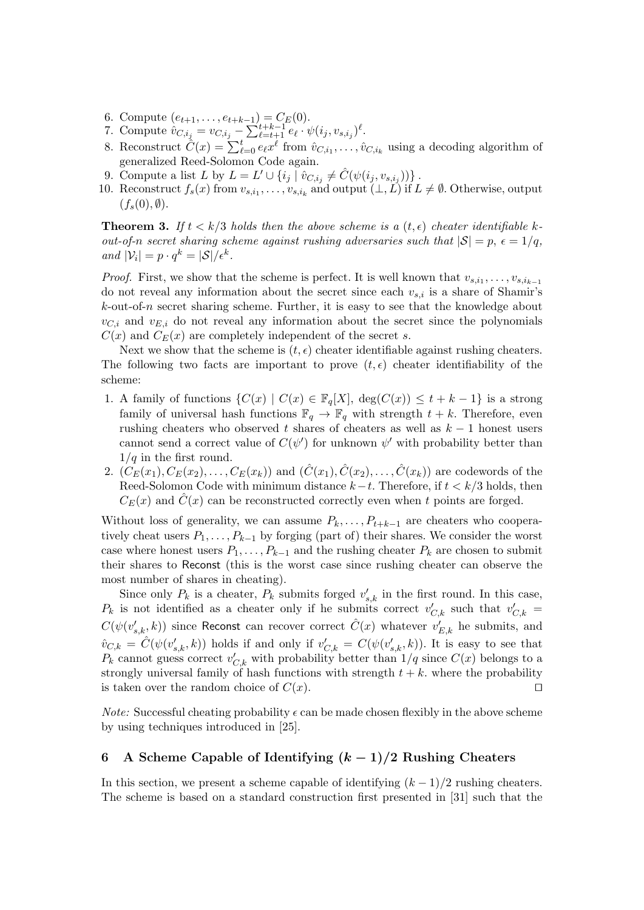- 6. Compute  $(e_{t+1}, \ldots, e_{t+k-1}) = C_E(0)$ .
- 7. Compute  $\hat{v}_{C,i_j} = v_{C,i_j} \sum_{\ell=t+1}^{t+k-1} e_{\ell} \cdot \psi(i_j, v_{s,i_j})^{\ell}$ .
- 8. Reconstruct  $\tilde{C}(x) = \sum_{\ell=0}^t e_\ell x^\ell$  from  $\hat{v}_{C,i_1}, \ldots, \hat{v}_{C,i_k}$  using a decoding algorithm of generalized Reed-Solomon Code again.
- 9. Compute a list L by  $L = L' \cup \{i_j \mid \hat{v}_{C,i_j} \neq \hat{C}(\psi(i_j, v_{s,i_j}))\}$ .
- 10. Reconstruct  $f_s(x)$  from  $v_{s,i_1}, \ldots, v_{s,i_k}$  and output  $(\perp, L)$  if  $L \neq \emptyset$ . Otherwise, output  $(f_s(0), \emptyset).$

**Theorem 3.** If  $t < k/3$  holds then the above scheme is a  $(t, \epsilon)$  cheater identifiable kout-of-n secret sharing scheme against rushing adversaries such that  $|S| = p$ ,  $\epsilon = 1/q$ , and  $|\mathcal{V}_i| = p \cdot q^k = |\mathcal{S}|/\epsilon^k$ .

*Proof.* First, we show that the scheme is perfect. It is well known that  $v_{s,i_1}, \ldots, v_{s,i_{k-1}}$ do not reveal any information about the secret since each  $v_{s,i}$  is a share of Shamir's  $k$ -out-of-n secret sharing scheme. Further, it is easy to see that the knowledge about  $v_{C,i}$  and  $v_{E,i}$  do not reveal any information about the secret since the polynomials  $C(x)$  and  $C<sub>E</sub>(x)$  are completely independent of the secret s.

Next we show that the scheme is  $(t, \epsilon)$  cheater identifiable against rushing cheaters. The following two facts are important to prove  $(t, \epsilon)$  cheater identifiability of the scheme:

- 1. A family of functions  $\{C(x) \mid C(x) \in \mathbb{F}_q[X], \deg(C(x)) \leq t+k-1\}$  is a strong family of universal hash functions  $\mathbb{F}_q \to \mathbb{F}_q$  with strength  $t + k$ . Therefore, even rushing cheaters who observed t shares of cheaters as well as  $k - 1$  honest users cannot send a correct value of  $C(\psi')$  for unknown  $\psi'$  with probability better than  $1/q$  in the first round.
- 2.  $(C_E(x_1), C_E(x_2), \ldots, C_E(x_k))$  and  $(\hat{C}(x_1), \hat{C}(x_2), \ldots, \hat{C}(x_k))$  are codewords of the Reed-Solomon Code with minimum distance  $k-t$ . Therefore, if  $t < k/3$  holds, then  $C_E(x)$  and  $\ddot{C}(x)$  can be reconstructed correctly even when t points are forged.

Without loss of generality, we can assume  $P_k, \ldots, P_{t+k-1}$  are cheaters who cooperatively cheat users  $P_1, \ldots, P_{k-1}$  by forging (part of) their shares. We consider the worst case where honest users  $P_1, \ldots, P_{k-1}$  and the rushing cheater  $P_k$  are chosen to submit their shares to Reconst (this is the worst case since rushing cheater can observe the most number of shares in cheating).

Since only  $P_k$  is a cheater,  $P_k$  submits forged  $v'_{s,k}$  in the first round. In this case,  $P_k$  is not identified as a cheater only if he submits correct  $v'_{C,k}$  such that  $v'_{C,k}$  $C(\psi(v'_{s,k},k))$  since Reconst can recover correct  $\hat{C}(x)$  whatever  $v'_{E,k}$  he submits, and  $\hat{v}_{C,k} = \hat{C}(\psi(v'_{s,k}, k))$  holds if and only if  $v'_{C,k} = C(\psi(v'_{s,k}, k))$ . It is easy to see that  $P_k$  cannot guess correct  $v'_{C,k}$  with probability better than  $1/q$  since  $C(x)$  belongs to a strongly universal family of hash functions with strength  $t + k$ , where the probability is taken over the random choice of  $C(x)$ .

*Note:* Successful cheating probability  $\epsilon$  can be made chosen flexibly in the above scheme by using techniques introduced in [25].

# 6 A Scheme Capable of Identifying  $(k-1)/2$  Rushing Cheaters

In this section, we present a scheme capable of identifying  $(k-1)/2$  rushing cheaters. The scheme is based on a standard construction first presented in [31] such that the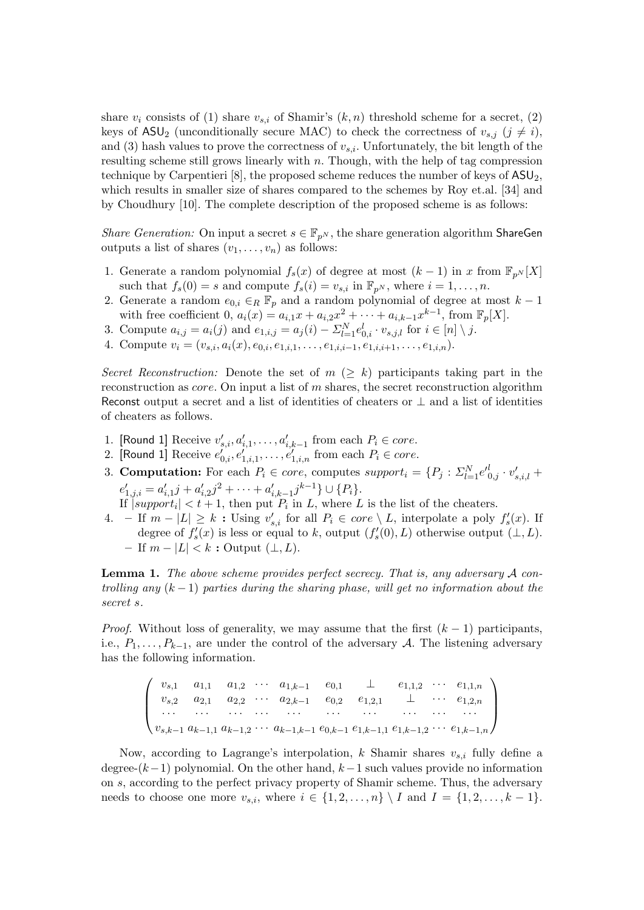share  $v_i$  consists of (1) share  $v_{s,i}$  of Shamir's  $(k, n)$  threshold scheme for a secret, (2) keys of  $ASU_2$  (unconditionally secure MAC) to check the correctness of  $v_{s,j}$   $(j \neq i)$ , and (3) hash values to prove the correctness of  $v_{s,i}$ . Unfortunately, the bit length of the resulting scheme still grows linearly with  $n$ . Though, with the help of tag compression technique by Carpentieri  $[8]$ , the proposed scheme reduces the number of keys of  $ASU<sub>2</sub>$ , which results in smaller size of shares compared to the schemes by Roy et.al. [34] and by Choudhury [10]. The complete description of the proposed scheme is as follows:

Share Generation: On input a secret  $s \in \mathbb{F}_{p^N}$ , the share generation algorithm ShareGen outputs a list of shares  $(v_1, \ldots, v_n)$  as follows:

- 1. Generate a random polynomial  $f_s(x)$  of degree at most  $(k-1)$  in x from  $\mathbb{F}_{p^N}[X]$ such that  $f_s(0) = s$  and compute  $f_s(i) = v_{s,i}$  in  $\mathbb{F}_{p^N}$ , where  $i = 1, \ldots, n$ .
- 2. Generate a random  $e_{0,i} \in_R \mathbb{F}_p$  and a random polynomial of degree at most  $k-1$ with free coefficient 0,  $a_i(x) = a_{i,1}x + a_{i,2}x^2 + \cdots + a_{i,k-1}x^{k-1}$ , from  $\mathbb{F}_p[X]$ .
- 3. Compute  $a_{i,j} = a_i(j)$  and  $e_{1,i,j} = a_j(i) \sum_{l=1}^{N} e_{0,i}^l \cdot v_{s,j,l}$  for  $i \in [n] \setminus j$ .
- 4. Compute  $v_i = (v_{s,i}, a_i(x), e_{0,i}, e_{1,i,1}, \ldots, e_{1,i,i-1}, e_{1,i,i+1}, \ldots, e_{1,i,n}).$

Secret Reconstruction: Denote the set of  $m$  ( $> k$ ) participants taking part in the reconstruction as *core*. On input a list of  $m$  shares, the secret reconstruction algorithm Reconst output a secret and a list of identities of cheaters or  $\perp$  and a list of identities of cheaters as follows.

- 1. [Round 1] Receive  $v'_{s,i}, a'_{i,1}, \ldots, a'_{i,k-1}$  from each  $P_i \in core$ .
- 2. [Round 1] Receive  $e'_{0,i}, e'_{1,i,1}, \ldots, e'_{1,i,n}$  from each  $P_i \in core$ .
- 3. Computation: For each  $P_i \in core$ , computes  $support_i = \{P_j : \sum_{l=1}^{N} e^{l}_{0,j} \cdot v'_{s,i,l} +$  $e'_{1,j,i} = a'_{i,1}j + a'_{i,2}j^2 + \cdots + a'_{i,k-1}j^{k-1}\} \cup \{P_i\}.$
- If  $|support_i| < t+1$ , then put  $P_i$  in L, where L is the list of the cheaters.
- 4. If  $m |L| \geq k$ : Using  $v'_{s,i}$  for all  $P_i \in core \setminus L$ , interpolate a poly  $f'_{s}(x)$ . If degree of  $f'_s(x)$  is less or equal to k, output  $(f'_s(0), L)$  otherwise output  $(\perp, L)$ . – If  $m - |L| < k$ : Output  $(\perp, L)$ .

Lemma 1. The above scheme provides perfect secrecy. That is, any adversary A controlling any  $(k-1)$  parties during the sharing phase, will get no information about the secret s.

*Proof.* Without loss of generality, we may assume that the first  $(k - 1)$  participants, i.e.,  $P_1, \ldots, P_{k-1}$ , are under the control of the adversary A. The listening adversary has the following information.

 $\sqrt{ }$  $\overline{\phantom{a}}$  $v_{s,1}$   $a_{1,1}$   $a_{1,2}$   $\cdots$   $a_{1,k-1}$   $e_{0,1}$   $\perp$   $e_{1,1,2}$   $\cdots$   $e_{1,1,n}$  $v_{s,2}$   $a_{2,1}$   $a_{2,2}$   $\cdots$   $a_{2,k-1}$   $e_{0,2}$   $e_{1,2,1}$   $\perp$   $\cdots$   $e_{1,2,n}$ · · · · · · · · · · · · · · · · · · · · · · · · · · · · · ·  $v_{s,k-1}$   $a_{k-1,1}$   $a_{k-1,2}$   $\cdots$   $a_{k-1,k-1}$   $e_{0,k-1}$   $e_{1,k-1,1}$   $e_{1,k-1,2}$   $\cdots$   $e_{1,k-1,n}$  $\setminus$  $\Big\}$ 

Now, according to Lagrange's interpolation, k Shamir shares  $v_{s,i}$  fully define a degree- $(k-1)$  polynomial. On the other hand,  $k-1$  such values provide no information on s, according to the perfect privacy property of Shamir scheme. Thus, the adversary needs to choose one more  $v_{s,i}$ , where  $i \in \{1, 2, \ldots, n\} \setminus I$  and  $I = \{1, 2, \ldots, k-1\}$ .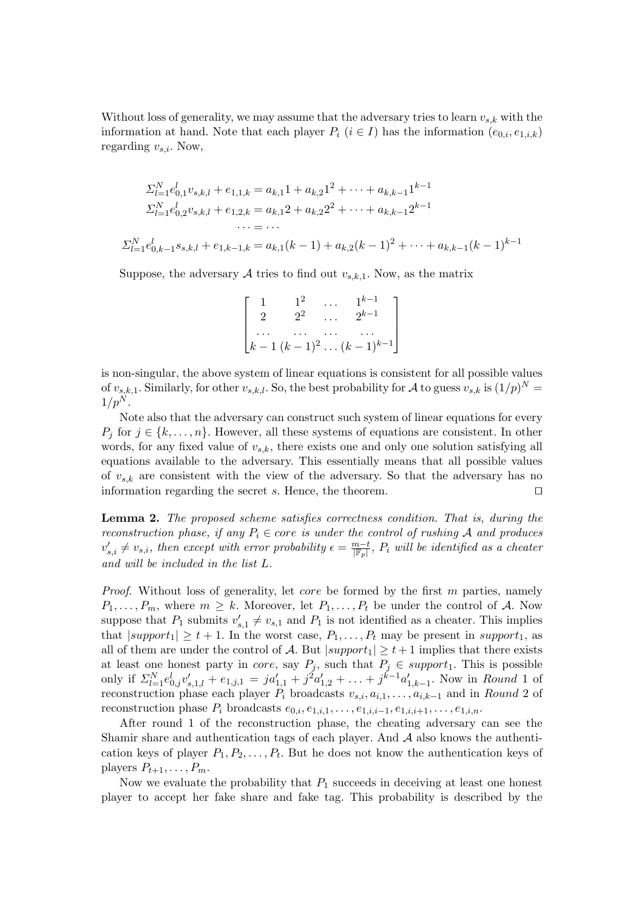Without loss of generality, we may assume that the adversary tries to learn  $v_{s,k}$  with the information at hand. Note that each player  $P_i$  ( $i \in I$ ) has the information  $(e_{0,i}, e_{1,i,k})$ regarding  $v_{s,i}$ . Now,

$$
\sum_{l=1}^{N} e_{0,1}^{l} v_{s,k,l} + e_{1,1,k} = a_{k,1}1 + a_{k,2}1^{2} + \dots + a_{k,k-1}1^{k-1}
$$
\n
$$
\sum_{l=1}^{N} e_{0,2}^{l} v_{s,k,l} + e_{1,2,k} = a_{k,1}2 + a_{k,2}2^{2} + \dots + a_{k,k-1}2^{k-1}
$$
\n
$$
\dots = \dots
$$
\n
$$
\sum_{l=1}^{N} e_{0,k-1}^{l} s_{s,k,l} + e_{1,k-1,k} = a_{k,1}(k-1) + a_{k,2}(k-1)^{2} + \dots + a_{k,k-1}(k-1)^{k-1}
$$

Suppose, the adversary A tries to find out  $v_{s,k,1}$ . Now, as the matrix

| $\frac{1}{2}$ | $1^2$ | $1^{k-1}$                                                                                    |  |
|---------------|-------|----------------------------------------------------------------------------------------------|--|
|               | $2^2$ | $2^{k-1}$                                                                                    |  |
|               |       | $\begin{bmatrix} \cdots & \cdots & \cdots \\ k-1 (k-1)^2 & \cdots (k-1)^{k-1} \end{bmatrix}$ |  |

is non-singular, the above system of linear equations is consistent for all possible values of  $v_{s,k,1}$ . Similarly, for other  $v_{s,k,l}$ . So, the best probability for A to guess  $v_{s,k}$  is  $(1/p)^N =$  $1/p^N$ .

Note also that the adversary can construct such system of linear equations for every  $P_i$  for  $j \in \{k, \ldots, n\}$ . However, all these systems of equations are consistent. In other words, for any fixed value of  $v_{s,k}$ , there exists one and only one solution satisfying all equations available to the adversary. This essentially means that all possible values of  $v_{s,k}$  are consistent with the view of the adversary. So that the adversary has no information regarding the secret s. Hence, the theorem.  $\Box$ 

Lemma 2. The proposed scheme satisfies correctness condition. That is, during the reconstruction phase, if any  $P_i \in \text{core}$  is under the control of rushing A and produces  $v'_{s,i} \neq v_{s,i}$ , then except with error probability  $\epsilon = \frac{m-t}{|\mathbb{F}_p|}$ ,  $P_i$  will be identified as a cheater and will be included in the list L.

Proof. Without loss of generality, let *core* be formed by the first m parties, namely  $P_1, \ldots, P_m$ , where  $m \geq k$ . Moreover, let  $P_1, \ldots, P_t$  be under the control of A. Now suppose that  $P_1$  submits  $v'_{s,1} \neq v_{s,1}$  and  $P_1$  is not identified as a cheater. This implies that  $|support_1| \geq t+1$ . In the worst case,  $P_1, \ldots, P_t$  may be present in support<sub>1</sub>, as all of them are under the control of A. But  $|support_1| \geq t+1$  implies that there exists at least one honest party in *core*, say  $P_j$ , such that  $P_j \in support_1$ . This is possible only if  $\Sigma_{l=1}^N e_{0,j}^l v'_{s,1,l} + e_{1,j,1} = ja'_{1,1} + j^2 a'_{1,2} + \ldots + j^{k-1} a'_{1,k-1}$ . Now in Round 1 of reconstruction phase each player  $P_i$  broadcasts  $v_{s,i}, a_{i,1}, \ldots, a_{i,k-1}$  and in Round 2 of reconstruction phase  $P_i$  broadcasts  $e_{0,i}, e_{1,i,1}, \ldots, e_{1,i,i-1}, e_{1,i,i+1}, \ldots, e_{1,i,n}$ .

After round 1 of the reconstruction phase, the cheating adversary can see the Shamir share and authentication tags of each player. And  $A$  also knows the authentication keys of player  $P_1, P_2, \ldots, P_t$ . But he does not know the authentication keys of players  $P_{t+1}, \ldots, P_m$ .

Now we evaluate the probability that  $P_1$  succeeds in deceiving at least one honest player to accept her fake share and fake tag. This probability is described by the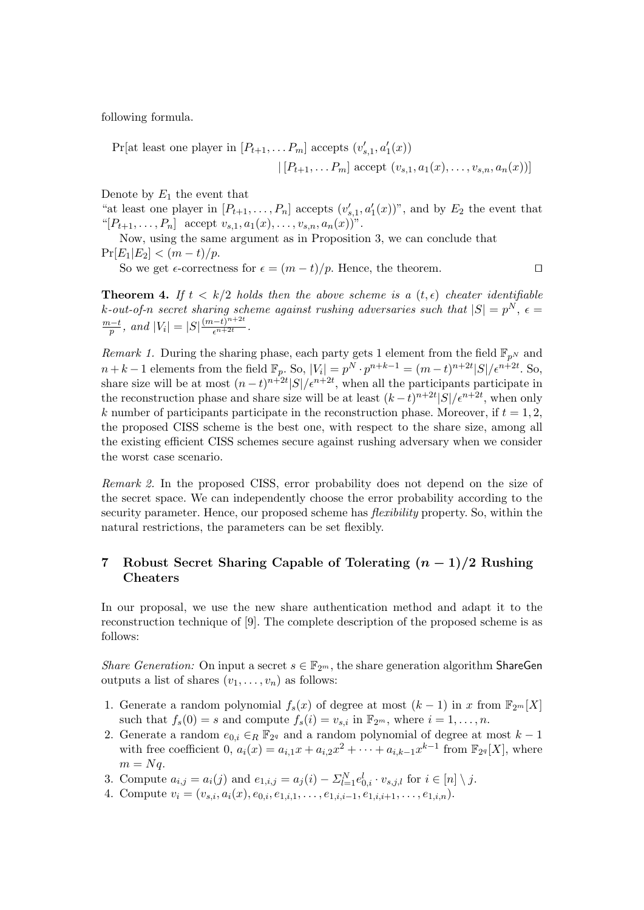following formula.

$$
\Pr[\text{at least one player in } [P_{t+1}, \dots P_m] \text{ accepts } (v'_{s,1}, a'_1(x))
$$

$$
| [P_{t+1}, \dots P_m] \text{ accept } (v_{s,1}, a_1(x), \dots, v_{s,n}, a_n(x))]
$$

Denote by  $E_1$  the event that

"at least one player in  $[P_{t+1},...,P_n]$  accepts  $(v'_{s,1},a'_1(x))^n$ , and by  $E_2$  the event that "[ $P_{t+1}, \ldots, P_n$ ] accept  $v_{s,1}, a_1(x), \ldots, v_{s,n}, a_n(x)$ ]".

Now, using the same argument as in Proposition 3, we can conclude that  $Pr[E_1|E_2] < (m-t)/p$ .

So we get  $\epsilon$ -correctness for  $\epsilon = (m - t)/p$ . Hence, the theorem.

**Theorem 4.** If  $t < k/2$  holds then the above scheme is a  $(t, \epsilon)$  cheater identifiable k-out-of-n secret sharing scheme against rushing adversaries such that  $|S| = p^N$ ,  $\epsilon =$  $m-t$  $\frac{p_{i}-t}{p}$ , and  $|V_i| = |S| \frac{(m-t)^{n+2t}}{\epsilon^{n+2t}}$  $\frac{(-t)^{n+1}}{\epsilon^{n+2t}}$ .

Remark 1. During the sharing phase, each party gets 1 element from the field  $\mathbb{F}_{pN}$  and  $n+k-1$  elements from the field  $\mathbb{F}_p$ . So,  $|V_i| = p^N \cdot p^{n+k-1} = (m-t)^{n+2t} |S| / \epsilon^{n+2t}$ . So, share size will be at most  $(n-t)^{n+2t}|S|/\epsilon^{n+2t}$ , when all the participants participate in the reconstruction phase and share size will be at least  $(k-t)^{n+2t} |S| / \epsilon^{n+2t}$ , when only k number of participants participate in the reconstruction phase. Moreover, if  $t = 1, 2$ , the proposed CISS scheme is the best one, with respect to the share size, among all the existing efficient CISS schemes secure against rushing adversary when we consider the worst case scenario.

Remark 2. In the proposed CISS, error probability does not depend on the size of the secret space. We can independently choose the error probability according to the security parameter. Hence, our proposed scheme has *flexibility* property. So, within the natural restrictions, the parameters can be set flexibly.

# 7 Robust Secret Sharing Capable of Tolerating  $(n-1)/2$  Rushing Cheaters

In our proposal, we use the new share authentication method and adapt it to the reconstruction technique of [9]. The complete description of the proposed scheme is as follows:

Share Generation: On input a secret  $s \in \mathbb{F}_{2^m}$ , the share generation algorithm ShareGen outputs a list of shares  $(v_1, \ldots, v_n)$  as follows:

- 1. Generate a random polynomial  $f_s(x)$  of degree at most  $(k-1)$  in x from  $\mathbb{F}_{2^m}[X]$ such that  $f_s(0) = s$  and compute  $f_s(i) = v_{s,i}$  in  $\mathbb{F}_{2^m}$ , where  $i = 1, \ldots, n$ .
- 2. Generate a random  $e_{0,i} \in_R \mathbb{F}_{2^q}$  and a random polynomial of degree at most  $k-1$ with free coefficient  $0, a_i(x) = a_{i,1}x + a_{i,2}x^2 + \cdots + a_{i,k-1}x^{k-1}$  from  $\mathbb{F}_{2^q}[X]$ , where  $m = Nq$ .
- 3. Compute  $a_{i,j} = a_i(j)$  and  $e_{1,i,j} = a_j(i) \sum_{l=1}^{N} e_{0,i}^l \cdot v_{s,j,l}$  for  $i \in [n] \setminus j$ .
- 4. Compute  $v_i = (v_{s,i}, a_i(x), e_{0,i}, e_{1,i,1}, \ldots, e_{1,i,i-1}, e_{1,i,i+1}, \ldots, e_{1,i,n}).$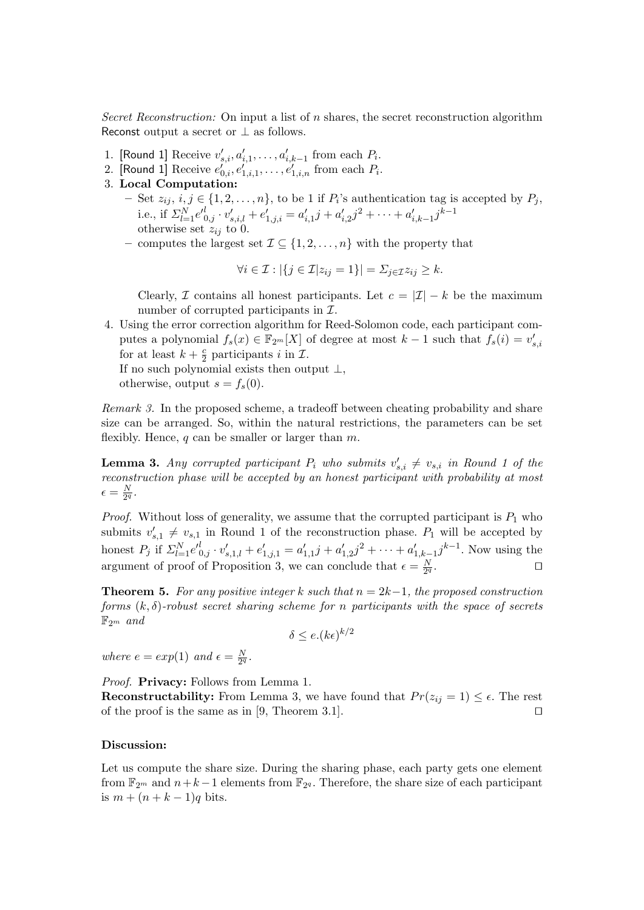Secret Reconstruction: On input a list of n shares, the secret reconstruction algorithm Reconst output a secret or  $\perp$  as follows.

- 1. [Round 1] Receive  $v'_{s,i}, a'_{i,1}, \ldots, a'_{i,k-1}$  from each  $P_i$ .
- 2. [Round 1] Receive  $e'_{0,i}, e'_{1,i,1}, \ldots, e'_{1,i,n}$  from each  $P_i$ .
- 3. Local Computation:
	- Set  $z_{ij}$ ,  $i, j \in \{1, 2, ..., n\}$ , to be 1 if  $P_i$ 's authentication tag is accepted by  $P_j$ , i.e., if  $\Sigma_{l=1}^N e^{l}_{0,j} \cdot v'_{s,i,l} + e'_{1,j,i} = a'_{i,1}j + a'_{i,2}j^2 + \cdots + a'_{i,k-1}j^{k-1}$ otherwise set  $z_{ij}$  to 0.
	- computes the largest set  $\mathcal{I} \subseteq \{1, 2, ..., n\}$  with the property that

$$
\forall i \in \mathcal{I}: |\{j \in \mathcal{I} | z_{ij} = 1\}| = \sum_{j \in \mathcal{I}} z_{ij} \ge k.
$$

Clearly, I contains all honest participants. Let  $c = |\mathcal{I}| - k$  be the maximum number of corrupted participants in  $\mathcal{I}$ .

4. Using the error correction algorithm for Reed-Solomon code, each participant computes a polynomial  $f_s(x) \in \mathbb{F}_{2^m}[X]$  of degree at most  $k-1$  such that  $f_s(i) = v'_{s,i}$ for at least  $k + \frac{c}{2}$  $\frac{c}{2}$  participants *i* in  $\mathcal{I}$ .

If no such polynomial exists then output  $\bot$ ,

otherwise, output  $s = f_s(0)$ .

Remark 3. In the proposed scheme, a tradeoff between cheating probability and share size can be arranged. So, within the natural restrictions, the parameters can be set flexibly. Hence,  $q$  can be smaller or larger than  $m$ .

**Lemma 3.** Any corrupted participant  $P_i$  who submits  $v'_{s,i} \neq v_{s,i}$  in Round 1 of the reconstruction phase will be accepted by an honest participant with probability at most  $\epsilon = \frac{N}{2g}$  $\frac{N}{2^q}$  .

*Proof.* Without loss of generality, we assume that the corrupted participant is  $P_1$  who submits  $v'_{s,1} \neq v_{s,1}$  in Round 1 of the reconstruction phase.  $P_1$  will be accepted by honest  $P_j$  if  $\sum_{l=1}^N e^{t l}_{0,j} \cdot v'_{s,1,l} + e^{t}_{1,j,1} = a'_{1,1}j + a'_{1,2}j^2 + \cdots + a'_{1,k-1}j^{k-1}$ . Now using the argument of proof of Proposition 3, we can conclude that  $\epsilon = \frac{N}{20}$ 2  $\frac{\mathsf{V}}{q}$ .

**Theorem 5.** For any positive integer k such that  $n = 2k-1$ , the proposed construction forms  $(k, \delta)$ -robust secret sharing scheme for n participants with the space of secrets  $\mathbb{F}_{2^m}$  and

$$
\delta \le e.(k\epsilon)^{k/2}
$$

where  $e = exp(1)$  and  $\epsilon = \frac{N}{29}$  $\frac{N}{2^q}$  .

Proof. Privacy: Follows from Lemma 1.

**Reconstructability:** From Lemma 3, we have found that  $Pr(z_{ij} = 1) \leq \epsilon$ . The rest of the proof is the same as in [9, Theorem 3.1].

#### Discussion:

Let us compute the share size. During the sharing phase, each party gets one element from  $\mathbb{F}_{2^m}$  and  $n+k-1$  elements from  $\mathbb{F}_{2^q}$ . Therefore, the share size of each participant is  $m + (n + k - 1)q$  bits.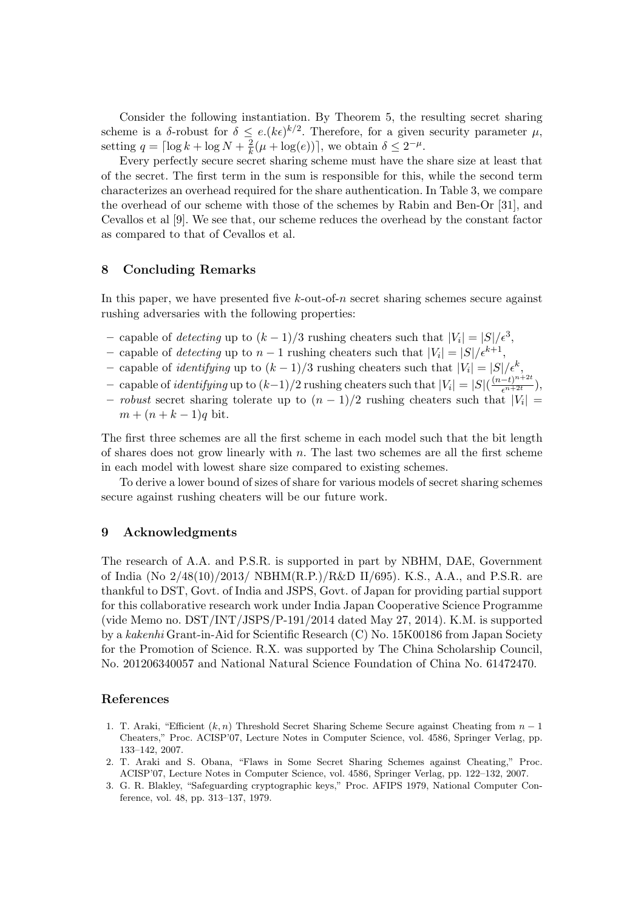Consider the following instantiation. By Theorem 5, the resulting secret sharing scheme is a  $\delta$ -robust for  $\delta \leq e(k\epsilon)^{k/2}$ . Therefore, for a given security parameter  $\mu$ , setting  $q = \lceil \log k + \log N + \frac{2}{k} \rceil$  $\frac{2}{k}(\mu + \log(e))$ , we obtain  $\delta \leq 2^{-\mu}$ .

Every perfectly secure secret sharing scheme must have the share size at least that of the secret. The first term in the sum is responsible for this, while the second term characterizes an overhead required for the share authentication. In Table 3, we compare the overhead of our scheme with those of the schemes by Rabin and Ben-Or [31], and Cevallos et al [9]. We see that, our scheme reduces the overhead by the constant factor as compared to that of Cevallos et al.

## 8 Concluding Remarks

In this paper, we have presented five  $k$ -out-of-n secret sharing schemes secure against rushing adversaries with the following properties:

- capable of *detecting* up to  $(k-1)/3$  rushing cheaters such that  $|V_i| = |S|/\epsilon^3$ ,
- capable of *detecting* up to  $n-1$  rushing cheaters such that  $|V_i| = |S|/\epsilon^{k+1}$ ,
- capable of *identifying* up to  $(k-1)/3$  rushing cheaters such that  $|V_i| = |S|/\epsilon^k$ ,
- $-$  capable of *identifying* up to  $(k-1)/2$  rushing cheaters such that  $|V_i| = |S|(\frac{(n-t)^{n+2t}}{\epsilon^{n+2t}})$ ,
- robust secret sharing tolerate up to  $(n-1)/2$  rushing cheaters such that  $|V_i|$  =  $m + (n + k - 1)q$  bit.

The first three schemes are all the first scheme in each model such that the bit length of shares does not grow linearly with n. The last two schemes are all the first scheme in each model with lowest share size compared to existing schemes.

To derive a lower bound of sizes of share for various models of secret sharing schemes secure against rushing cheaters will be our future work.

### 9 Acknowledgments

The research of A.A. and P.S.R. is supported in part by NBHM, DAE, Government of India (No 2/48(10)/2013/ NBHM(R.P.)/R&D II/695). K.S., A.A., and P.S.R. are thankful to DST, Govt. of India and JSPS, Govt. of Japan for providing partial support for this collaborative research work under India Japan Cooperative Science Programme (vide Memo no. DST/INT/JSPS/P-191/2014 dated May 27, 2014). K.M. is supported by a kakenhi Grant-in-Aid for Scientific Research (C) No. 15K00186 from Japan Society for the Promotion of Science. R.X. was supported by The China Scholarship Council, No. 201206340057 and National Natural Science Foundation of China No. 61472470.

#### References

- 1. T. Araki, "Efficient  $(k, n)$  Threshold Secret Sharing Scheme Secure against Cheating from  $n 1$ Cheaters," Proc. ACISP'07, Lecture Notes in Computer Science, vol. 4586, Springer Verlag, pp. 133–142, 2007.
- 2. T. Araki and S. Obana, "Flaws in Some Secret Sharing Schemes against Cheating," Proc. ACISP'07, Lecture Notes in Computer Science, vol. 4586, Springer Verlag, pp. 122–132, 2007.
- 3. G. R. Blakley, "Safeguarding cryptographic keys," Proc. AFIPS 1979, National Computer Conference, vol. 48, pp. 313–137, 1979.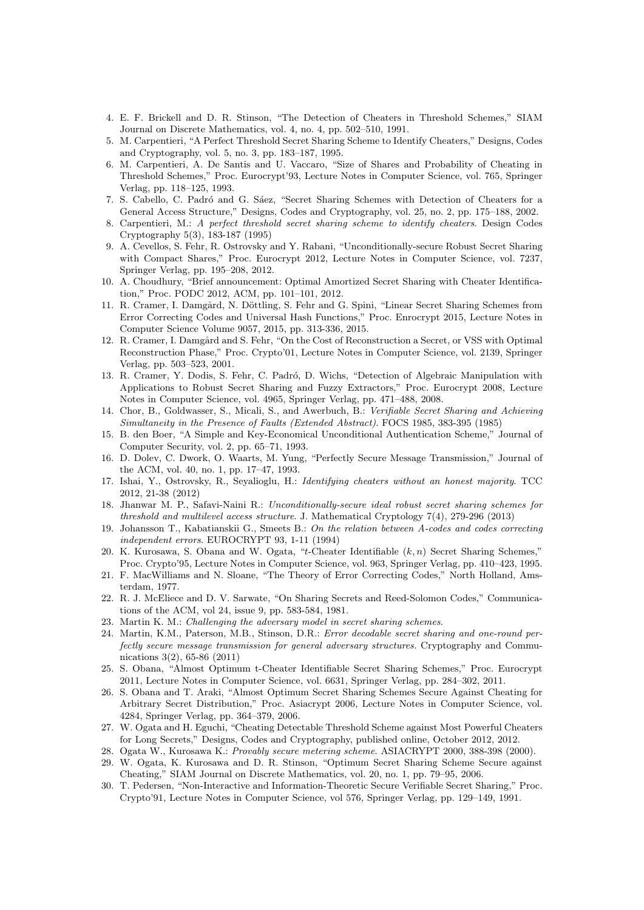- 4. E. F. Brickell and D. R. Stinson, "The Detection of Cheaters in Threshold Schemes," SIAM Journal on Discrete Mathematics, vol. 4, no. 4, pp. 502–510, 1991.
- 5. M. Carpentieri, "A Perfect Threshold Secret Sharing Scheme to Identify Cheaters," Designs, Codes and Cryptography, vol. 5, no. 3, pp. 183–187, 1995.
- 6. M. Carpentieri, A. De Santis and U. Vaccaro, "Size of Shares and Probability of Cheating in Threshold Schemes," Proc. Eurocrypt'93, Lecture Notes in Computer Science, vol. 765, Springer Verlag, pp. 118–125, 1993.
- 7. S. Cabello, C. Padró and G. Sáez, "Secret Sharing Schemes with Detection of Cheaters for a General Access Structure," Designs, Codes and Cryptography, vol. 25, no. 2, pp. 175–188, 2002.
- 8. Carpentieri, M.: A perfect threshold secret sharing scheme to identify cheaters. Design Codes Cryptography 5(3), 183-187 (1995)
- 9. A. Cevellos, S. Fehr, R. Ostrovsky and Y. Rabani, "Unconditionally-secure Robust Secret Sharing with Compact Shares," Proc. Eurocrypt 2012, Lecture Notes in Computer Science, vol. 7237, Springer Verlag, pp. 195–208, 2012.
- 10. A. Choudhury, "Brief announcement: Optimal Amortized Secret Sharing with Cheater Identification," Proc. PODC 2012, ACM, pp. 101–101, 2012.
- 11. R. Cramer, I. Damgård, N. Döttling, S. Fehr and G. Spini, "Linear Secret Sharing Schemes from Error Correcting Codes and Universal Hash Functions," Proc. Enrocrypt 2015, Lecture Notes in Computer Science Volume 9057, 2015, pp. 313-336, 2015.
- 12. R. Cramer, I. Damgård and S. Fehr, "On the Cost of Reconstruction a Secret, or VSS with Optimal Reconstruction Phase," Proc. Crypto'01, Lecture Notes in Computer Science, vol. 2139, Springer Verlag, pp. 503–523, 2001.
- 13. R. Cramer, Y. Dodis, S. Fehr, C. Padró, D. Wichs, "Detection of Algebraic Manipulation with Applications to Robust Secret Sharing and Fuzzy Extractors," Proc. Eurocrypt 2008, Lecture Notes in Computer Science, vol. 4965, Springer Verlag, pp. 471–488, 2008.
- 14. Chor, B., Goldwasser, S., Micali, S., and Awerbuch, B.: Verifiable Secret Sharing and Achieving Simultaneity in the Presence of Faults (Extended Abstract). FOCS 1985, 383-395 (1985)
- 15. B. den Boer, "A Simple and Key-Economical Unconditional Authentication Scheme," Journal of Computer Security, vol. 2, pp. 65–71, 1993.
- 16. D. Dolev, C. Dwork, O. Waarts, M. Yung, "Perfectly Secure Message Transmission," Journal of the ACM, vol. 40, no. 1, pp. 17–47, 1993.
- 17. Ishai, Y., Ostrovsky, R., Seyalioglu, H.: Identifying cheaters without an honest majority. TCC 2012, 21-38 (2012)
- 18. Jhanwar M. P., Safavi-Naini R.: Unconditionally-secure ideal robust secret sharing schemes for threshold and multilevel access structure. J. Mathematical Cryptology 7(4), 279-296 (2013)
- 19. Johansson T., Kabatianskii G., Smeets B.: On the relation between A-codes and codes correcting independent errors. EUROCRYPT 93, 1-11 (1994)
- 20. K. Kurosawa, S. Obana and W. Ogata, "t-Cheater Identifiable  $(k, n)$  Secret Sharing Schemes," Proc. Crypto'95, Lecture Notes in Computer Science, vol. 963, Springer Verlag, pp. 410–423, 1995.
- 21. F. MacWilliams and N. Sloane, "The Theory of Error Correcting Codes," North Holland, Amsterdam, 1977.
- 22. R. J. McEliece and D. V. Sarwate, "On Sharing Secrets and Reed-Solomon Codes," Communications of the ACM, vol 24, issue 9, pp. 583-584, 1981.
- 23. Martin K. M.: Challenging the adversary model in secret sharing schemes.
- 24. Martin, K.M., Paterson, M.B., Stinson, D.R.: Error decodable secret sharing and one-round perfectly secure message transmission for general adversary structures. Cryptography and Communications 3(2), 65-86 (2011)
- 25. S. Obana, "Almost Optimum t-Cheater Identifiable Secret Sharing Schemes," Proc. Eurocrypt 2011, Lecture Notes in Computer Science, vol. 6631, Springer Verlag, pp. 284–302, 2011.
- 26. S. Obana and T. Araki, "Almost Optimum Secret Sharing Schemes Secure Against Cheating for Arbitrary Secret Distribution," Proc. Asiacrypt 2006, Lecture Notes in Computer Science, vol. 4284, Springer Verlag, pp. 364–379, 2006.
- 27. W. Ogata and H. Eguchi, "Cheating Detectable Threshold Scheme against Most Powerful Cheaters for Long Secrets," Designs, Codes and Cryptography, published online, October 2012, 2012.
- 28. Ogata W., Kurosawa K.: Provably secure metering scheme. ASIACRYPT 2000, 388-398 (2000).
- 29. W. Ogata, K. Kurosawa and D. R. Stinson, "Optimum Secret Sharing Scheme Secure against Cheating," SIAM Journal on Discrete Mathematics, vol. 20, no. 1, pp. 79–95, 2006.
- 30. T. Pedersen, "Non-Interactive and Information-Theoretic Secure Verifiable Secret Sharing," Proc. Crypto'91, Lecture Notes in Computer Science, vol 576, Springer Verlag, pp. 129–149, 1991.